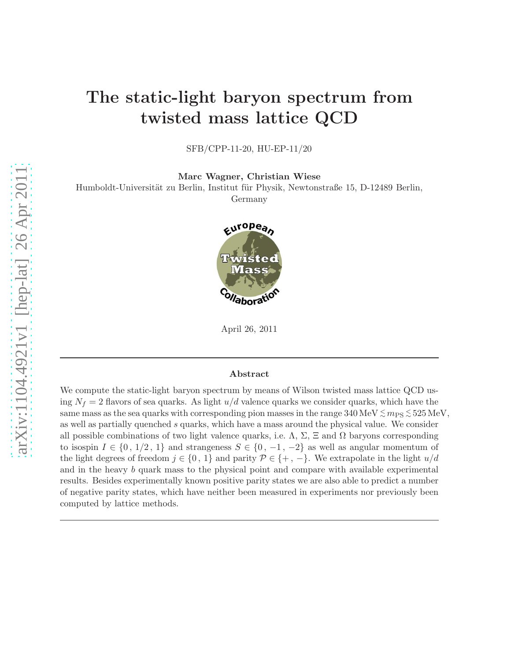## The static-light baryon spectrum from twisted mass lattice QCD

SFB/CPP-11-20, HU-EP-11/20

Marc Wagner, Christian Wiese

Humboldt-Universität zu Berlin, Institut für Physik, Newtonstraße 15, D-12489 Berlin, Germany



April 26, 2011

#### Abstract

We compute the static-light baryon spectrum by means of Wilson twisted mass lattice QCD using  $N_f = 2$  flavors of sea quarks. As light  $u/d$  valence quarks we consider quarks, which have the same mass as the sea quarks with corresponding pion masses in the range  $340\,\mathrm{MeV}\lesssim m_\mathrm{PS}\lesssim 525\,\mathrm{MeV},$ as well as partially quenched s quarks, which have a mass around the physical value. We consider all possible combinations of two light valence quarks, i.e.  $\Lambda$ ,  $\Sigma$ ,  $\Xi$  and  $\Omega$  baryons corresponding to isospin  $I \in \{0, 1/2, 1\}$  and strangeness  $S \in \{0, -1, -2\}$  as well as angular momentum of the light degrees of freedom  $j \in \{0, 1\}$  and parity  $\mathcal{P} \in \{+, -\}$ . We extrapolate in the light  $u/d$ and in the heavy b quark mass to the physical point and compare with available experimental results. Besides experimentally known positive parity states we are also able to predict a number of negative parity states, which have neither been measured in experiments nor previously been computed by lattice methods.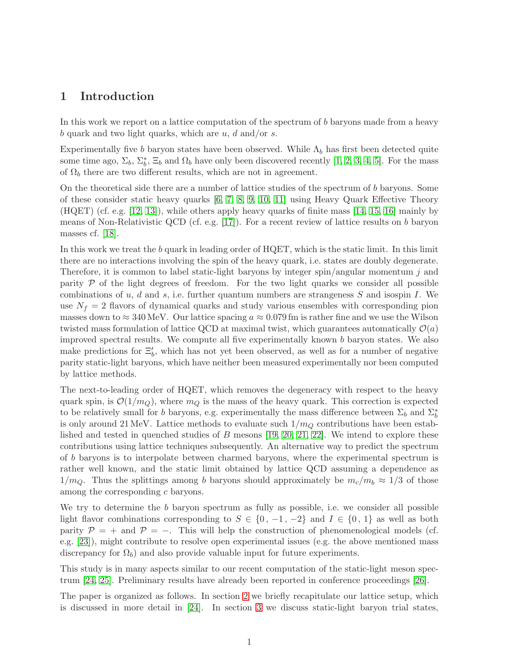### 1 Introduction

In this work we report on a lattice computation of the spectrum of b baryons made from a heavy b quark and two light quarks, which are  $u, d$  and/or s.

Experimentally five b baryon states have been observed. While  $\Lambda_b$  has first been detected quite some time ago,  $\Sigma_b$ ,  $\Sigma_b^*$ ,  $\Xi_b$  and  $\Omega_b$  have only been discovered recently [\[1,](#page-25-0) [2,](#page-25-1) [3,](#page-25-2) [4,](#page-25-3) [5\]](#page-25-4). For the mass of  $\Omega_b$  there are two different results, which are not in agreement.

On the theoretical side there are a number of lattice studies of the spectrum of b baryons. Some of these consider static heavy quarks [\[6,](#page-25-5) [7,](#page-25-6) [8,](#page-25-7) [9,](#page-25-8) [10,](#page-25-9) [11\]](#page-25-10) using Heavy Quark Effective Theory (HQET) (cf. e.g. [\[12,](#page-26-0) [13\]](#page-26-1)), while others apply heavy quarks of finite mass [\[14,](#page-26-2) [15,](#page-26-3) [16\]](#page-26-4) mainly by means of Non-Relativistic QCD (cf. e.g. [\[17\]](#page-26-5)). For a recent review of lattice results on b baryon masses cf. [\[18\]](#page-26-6).

In this work we treat the b quark in leading order of HQET, which is the static limit. In this limit there are no interactions involving the spin of the heavy quark, i.e. states are doubly degenerate. Therefore, it is common to label static-light baryons by integer spin/angular momentum j and parity  $P$  of the light degrees of freedom. For the two light quarks we consider all possible combinations of  $u, d$  and  $s$ , i.e. further quantum numbers are strangeness  $S$  and isospin  $I$ . We use  $N_f = 2$  flavors of dynamical quarks and study various ensembles with corresponding pion masses down to  $\approx 340$  MeV. Our lattice spacing  $a \approx 0.079$  fm is rather fine and we use the Wilson twisted mass formulation of lattice QCD at maximal twist, which guarantees automatically  $\mathcal{O}(a)$ improved spectral results. We compute all five experimentally known b baryon states. We also make predictions for  $\Xi'_b$ , which has not yet been observed, as well as for a number of negative parity static-light baryons, which have neither been measured experimentally nor been computed by lattice methods.

The next-to-leading order of HQET, which removes the degeneracy with respect to the heavy quark spin, is  $\mathcal{O}(1/m_Q)$ , where  $m_Q$  is the mass of the heavy quark. This correction is expected to be relatively small for b baryons, e.g. experimentally the mass difference between  $\Sigma_b$  and  $\Sigma_b^*$ is only around 21 MeV. Lattice methods to evaluate such  $1/m_Q$  contributions have been established and tested in quenched studies of  $B$  mesons [\[19,](#page-26-7) [20,](#page-26-8) [21,](#page-26-9) [22\]](#page-26-10). We intend to explore these contributions using lattice techniques subsequently. An alternative way to predict the spectrum of b baryons is to interpolate between charmed baryons, where the experimental spectrum is rather well known, and the static limit obtained by lattice QCD assuming a dependence as  $1/m_Q$ . Thus the splittings among b baryons should approximately be  $m_c/m_b \approx 1/3$  of those among the corresponding c baryons.

We try to determine the b baryon spectrum as fully as possible, i.e. we consider all possible light flavor combinations corresponding to  $S \in \{0, -1, -2\}$  and  $I \in \{0, 1\}$  as well as both parity  $\mathcal{P} = +$  and  $\mathcal{P} = -$ . This will help the construction of phenomenological models (cf. e.g. [\[23\]](#page-26-11)), might contribute to resolve open experimental issues (e.g. the above mentioned mass discrepancy for  $\Omega_b$ ) and also provide valuable input for future experiments.

This study is in many aspects similar to our recent computation of the static-light meson spectrum [\[24,](#page-26-12) [25\]](#page-26-13). Preliminary results have already been reported in conference proceedings [\[26\]](#page-26-14).

The paper is organized as follows. In section [2](#page-3-0) we briefly recapitulate our lattice setup, which is discussed in more detail in [\[24\]](#page-26-12). In section [3](#page-5-0) we discuss static-light baryon trial states,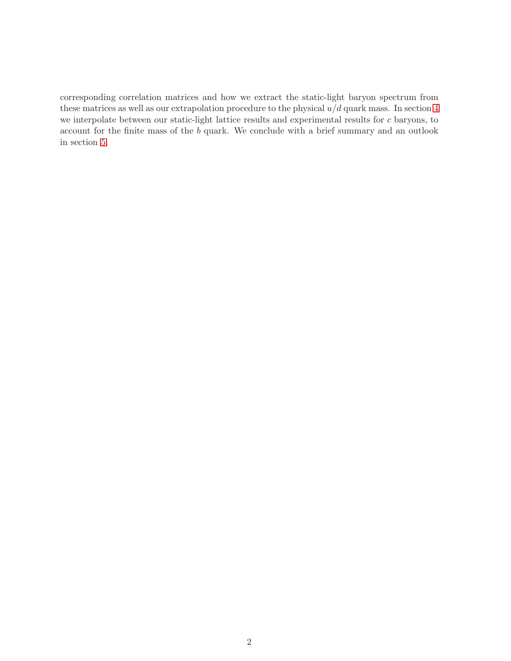corresponding correlation matrices and how we extract the static-light baryon spectrum from these matrices as well as our extrapolation procedure to the physical  $u/d$  quark mass. In section [4](#page-19-0) we interpolate between our static-light lattice results and experimental results for c baryons, to account for the finite mass of the b quark. We conclude with a brief summary and an outlook in section [5.](#page-23-0)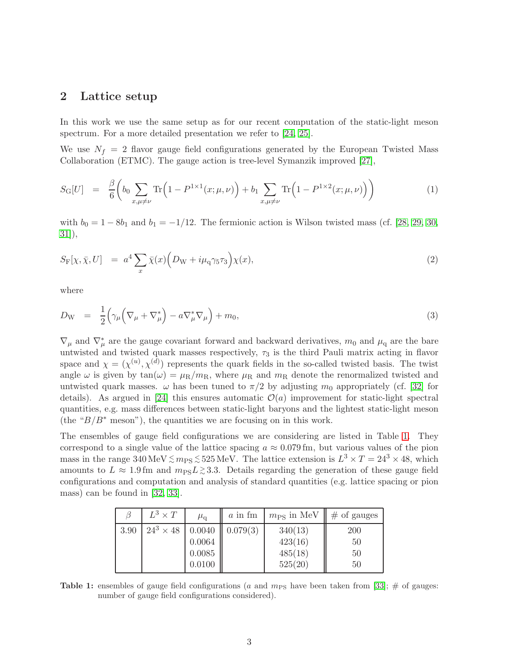## <span id="page-3-0"></span>2 Lattice setup

In this work we use the same setup as for our recent computation of the static-light meson spectrum. For a more detailed presentation we refer to [\[24,](#page-26-12) [25\]](#page-26-13).

We use  $N_f = 2$  flavor gauge field configurations generated by the European Twisted Mass Collaboration (ETMC). The gauge action is tree-level Symanzik improved [\[27\]](#page-26-15),

$$
S_{\rm G}[U] = \frac{\beta}{6} \bigg( b_0 \sum_{x,\mu \neq \nu} \text{Tr} \Big( 1 - P^{1 \times 1}(x; \mu, \nu) \Big) + b_1 \sum_{x,\mu \neq \nu} \text{Tr} \Big( 1 - P^{1 \times 2}(x; \mu, \nu) \Big) \bigg) \tag{1}
$$

with  $b_0 = 1 - 8b_1$  and  $b_1 = -1/12$ . The fermionic action is Wilson twisted mass (cf. [\[28,](#page-27-0) [29,](#page-27-1) [30,](#page-27-2) [31\]](#page-27-3)),

$$
S_{\mathcal{F}}[\chi, \bar{\chi}, U] = a^4 \sum_{x} \bar{\chi}(x) \Big( D_{\mathcal{W}} + i \mu_{\mathcal{q}} \gamma_5 \tau_3 \Big) \chi(x), \tag{2}
$$

where

$$
D_{\rm W} = \frac{1}{2} \left( \gamma_{\mu} \left( \nabla_{\mu} + \nabla_{\mu}^{*} \right) - a \nabla_{\mu}^{*} \nabla_{\mu} \right) + m_{0}, \qquad (3)
$$

 $\nabla_{\mu}$  and  $\nabla_{\mu}^*$  are the gauge covariant forward and backward derivatives,  $m_0$  and  $\mu_q$  are the bare untwisted and twisted quark masses respectively,  $\tau_3$  is the third Pauli matrix acting in flavor space and  $\chi = (\chi^{(u)}, \chi^{(d)})$  represents the quark fields in the so-called twisted basis. The twist angle  $\omega$  is given by  $tan(\omega) = \mu_R/m_R$ , where  $\mu_R$  and  $m_R$  denote the renormalized twisted and untwisted quark masses.  $\omega$  has been tuned to  $\pi/2$  by adjusting  $m_0$  appropriately (cf. [\[32\]](#page-27-4) for details). As argued in [\[24\]](#page-26-12) this ensures automatic  $\mathcal{O}(a)$  improvement for static-light spectral quantities, e.g. mass differences between static-light baryons and the lightest static-light meson (the " $B/B^*$  meson"), the quantities we are focusing on in this work.

The ensembles of gauge field configurations we are considering are listed in Table [1.](#page-3-1) They correspond to a single value of the lattice spacing  $a \approx 0.079$  fm, but various values of the pion mass in the range 340 MeV  $\lesssim m_{\rm PS} \lesssim 525$  MeV. The lattice extension is  $L^3 \times T = 24^3 \times 48$ , which amounts to  $L \approx 1.9 \,\text{fm}$  and  $m_{\text{PS}}L \gtrsim 3.3$ . Details regarding the generation of these gauge field configurations and computation and analysis of standard quantities (e.g. lattice spacing or pion mass) can be found in [\[32,](#page-27-4) [33\]](#page-27-5).

<span id="page-3-1"></span>

|      | $L^3 \times T$                       | $\mu_{\rm q}$              | $a$ in fm | $m_{\rm PS}$ in MeV $\parallel \#$ of gauges |                              |
|------|--------------------------------------|----------------------------|-----------|----------------------------------------------|------------------------------|
| 3.90 | $24^3 \times 48$   0.0040   0.079(3) | 0.0064<br>0.0085<br>0.0100 |           | 340(13)<br>423(16)<br>485(18)<br>525(20)     | <b>200</b><br>50<br>50<br>50 |

**Table 1:** ensembles of gauge field configurations (a and  $m_{PS}$  have been taken from [\[33\]](#page-27-5); # of gauges: number of gauge field configurations considered).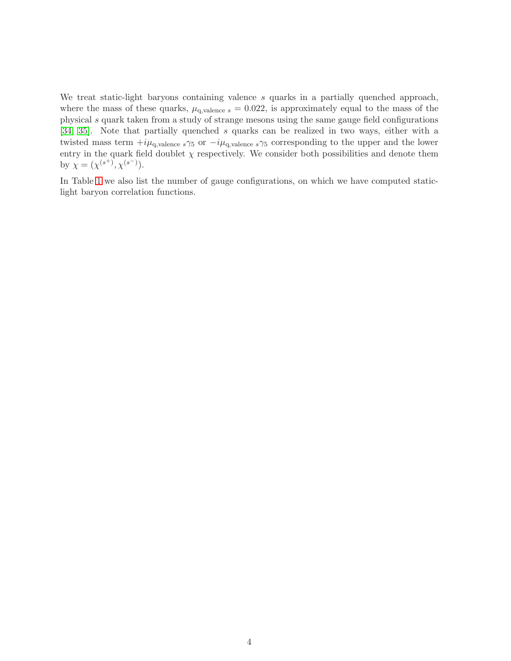We treat static-light baryons containing valence s quarks in a partially quenched approach, where the mass of these quarks,  $\mu_{q,\text{valence }s} = 0.022$ , is approximately equal to the mass of the physical s quark taken from a study of strange mesons using the same gauge field configurations [\[34,](#page-27-6) [35\]](#page-27-7). Note that partially quenched s quarks can be realized in two ways, either with a twisted mass term  $+i\mu_{q,\text{valence s}}\gamma_5$  or  $-i\mu_{q,\text{valence s}}\gamma_5$  corresponding to the upper and the lower entry in the quark field doublet  $\chi$  respectively. We consider both possibilities and denote them by  $\chi = (\chi^{(s^+)} , \chi^{(s^-)} ).$ 

In Table [1](#page-3-1) we also list the number of gauge configurations, on which we have computed staticlight baryon correlation functions.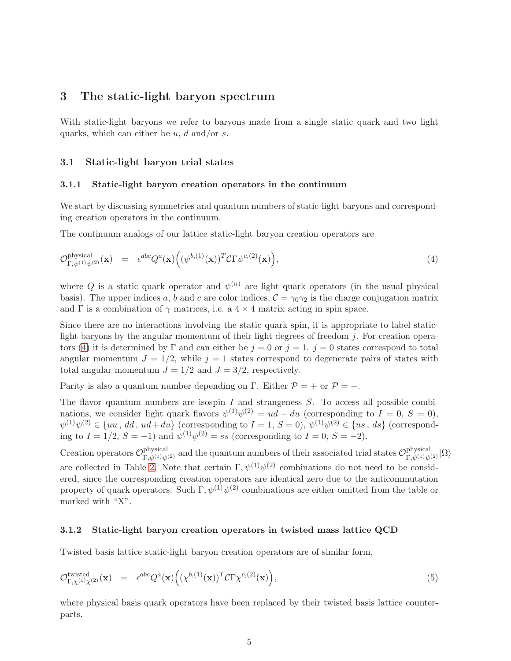## <span id="page-5-0"></span>3 The static-light baryon spectrum

With static-light baryons we refer to baryons made from a single static quark and two light quarks, which can either be  $u, d$  and/or  $s$ .

#### 3.1 Static-light baryon trial states

#### 3.1.1 Static-light baryon creation operators in the continuum

We start by discussing symmetries and quantum numbers of static-light baryons and corresponding creation operators in the continuum.

The continuum analogs of our lattice static-light baryon creation operators are

<span id="page-5-1"></span>
$$
\mathcal{O}_{\Gamma,\psi^{(1)}\psi^{(2)}}^{\text{physical}}(\mathbf{x}) = \epsilon^{abc} Q^a(\mathbf{x}) \Big( (\psi^{b,(1)}(\mathbf{x}))^T \mathcal{C} \Gamma \psi^{c,(2)}(\mathbf{x}) \Big), \tag{4}
$$

where Q is a static quark operator and  $\psi^{(n)}$  are light quark operators (in the usual physical basis). The upper indices a, b and c are color indices,  $C = \gamma_0 \gamma_2$  is the charge conjugation matrix and  $\Gamma$  is a combination of  $\gamma$  matrices, i.e. a 4  $\times$  4 matrix acting in spin space.

Since there are no interactions involving the static quark spin, it is appropriate to label staticlight baryons by the angular momentum of their light degrees of freedom  $i$ . For creation opera-tors [\(4\)](#page-5-1) it is determined by Γ and can either be  $j = 0$  or  $j = 1$ .  $j = 0$  states correspond to total angular momentum  $J = 1/2$ , while  $j = 1$  states correspond to degenerate pairs of states with total angular momentum  $J = 1/2$  and  $J = 3/2$ , respectively.

Parity is also a quantum number depending on Γ. Either  $P = +$  or  $P = -$ .

The flavor quantum numbers are isospin  $I$  and strangeness  $S$ . To access all possible combinations, we consider light quark flavors  $\psi^{(1)}\psi^{(2)} = ud - du$  (corresponding to  $I = 0, S = 0$ ),  $\psi^{(1)}\psi^{(2)} \in \{uu, dd, ud+du\}$  (corresponding to  $I=1, S=0$ ),  $\psi^{(1)}\psi^{(2)} \in \{us, ds\}$  (corresponding to  $I = 1/2$ ,  $S = -1$ ) and  $\psi^{(1)}\psi^{(2)} = ss$  (corresponding to  $I = 0$ ,  $S = -2$ ).

Creation operators  $\mathcal{O}_{\Gamma,\psi^{(1)}\psi^{(2)}}^{\text{physical}}$  and the quantum numbers of their associated trial states  $\mathcal{O}_{\Gamma,\psi^{(1)}\psi^{(2)}}^{\text{physical}}|\Omega\rangle$ are collected in Table [2.](#page-6-0) Note that certain  $\Gamma, \psi^{(1)}\psi^{(2)}$  combinations do not need to be considered, since the corresponding creation operators are identical zero due to the anticommutation property of quark operators. Such  $\Gamma$ ,  $\psi^{(1)}\psi^{(2)}$  combinations are either omitted from the table or marked with "X".

#### 3.1.2 Static-light baryon creation operators in twisted mass lattice QCD

Twisted basis lattice static-light baryon creation operators are of similar form,

$$
\mathcal{O}_{\Gamma,\chi^{(1)}\chi^{(2)}}^{\text{twisted}}(\mathbf{x}) = \epsilon^{abc} Q^{a}(\mathbf{x}) \Big( (\chi^{b,(1)}(\mathbf{x}))^{T} C \Gamma \chi^{c,(2)}(\mathbf{x}) \Big), \tag{5}
$$

where physical basis quark operators have been replaced by their twisted basis lattice counterparts.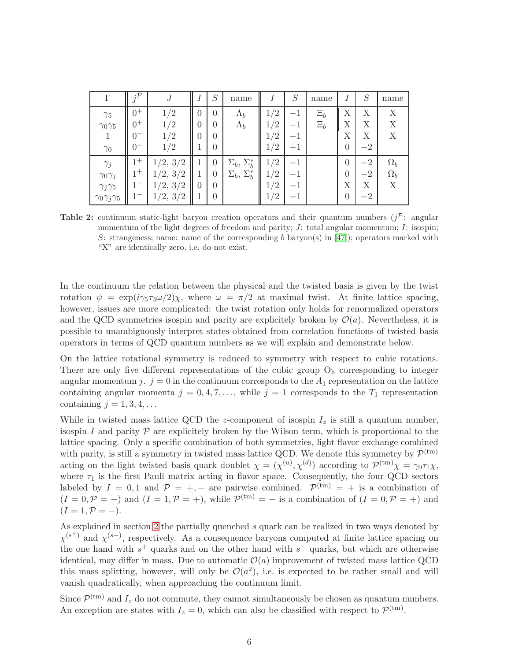<span id="page-6-0"></span>

| Г                          | $\cdot \mathcal{D}$ | J                             |                  | S                | name                            |     | S       | name    | ī              | S    | name       |
|----------------------------|---------------------|-------------------------------|------------------|------------------|---------------------------------|-----|---------|---------|----------------|------|------------|
| $\gamma_5$                 | $0^+$               | 1/2                           | $\theta$         | $\left( \right)$ | $\Lambda_b$                     | /2  | $^{-1}$ | $\Xi_b$ | Χ              | X    | X          |
| $\gamma_0\gamma_5$         | $^{0+}$             | 1/2                           | $\theta$         | $\theta$         | $\Lambda_b$                     | /2  | $-1$    | $\Xi_b$ | Х              | Х    | Χ          |
|                            | $\theta$            | 1/2                           | $\theta$         | $\theta$         |                                 | /2  | — 1     |         | Х              | Х    | X          |
| $\gamma_0$                 | $\theta$            | 1/2                           |                  | $\theta$         |                                 | 1/2 |         |         | 0              | $-2$ |            |
| $\gamma_j$                 | $1 +$               | 3/2<br>1/2,                   |                  | $\overline{0}$   | $\Sigma_{b}^{*}$<br>$\Sigma_b,$ | 1/2 | $^{-1}$ |         | $\overline{0}$ | $-2$ | $\Omega_b$ |
| $\gamma_0\gamma_j$         | $1 +$               | $\frac{2}{2}$ , $\frac{3}{2}$ |                  | $\theta$         | $\Sigma_b^*$<br>$\Sigma_b$ ,    | /2  | — 1     |         | 0              | $-2$ | $\Omega_b$ |
| $\gamma_j\gamma_5$         |                     | 1/2, 3/2                      | $\left( \right)$ | $\theta$         |                                 | /2  | — 1     |         | Χ              | Χ    | X          |
| $\gamma_0\gamma_j\gamma_5$ |                     | 1/2, 3/2                      |                  | $\left( \right)$ |                                 | 1/2 |         |         | $\overline{0}$ | $-2$ |            |

Table 2: continuum static-light baryon creation operators and their quantum numbers  $(j^{\mathcal{P}})$ : angular momentum of the light degrees of freedom and parity;  $J$ : total angular momentum;  $I$ : isospin; S: strangeness; name: name of the corresponding b baryon(s) in [\[47\]](#page-28-0)); operators marked with "X" are identically zero, i.e. do not exist.

In the continuum the relation between the physical and the twisted basis is given by the twist rotation  $\psi = \exp(i\gamma_5 \tau_3 \omega/2) \chi$ , where  $\omega = \pi/2$  at maximal twist. At finite lattice spacing, however, issues are more complicated: the twist rotation only holds for renormalized operators and the QCD symmetries isospin and parity are explicitely broken by  $\mathcal{O}(a)$ . Nevertheless, it is possible to unambiguously interpret states obtained from correlation functions of twisted basis operators in terms of QCD quantum numbers as we will explain and demonstrate below.

On the lattice rotational symmetry is reduced to symmetry with respect to cubic rotations. There are only five different representations of the cubic group  $O<sub>h</sub>$  corresponding to integer angular momentum j.  $j = 0$  in the continuum corresponds to the  $A_1$  representation on the lattice containing angular momenta  $j = 0, 4, 7, \ldots$ , while  $j = 1$  corresponds to the  $T_1$  representation containing  $j = 1, 3, 4, \ldots$ 

While in twisted mass lattice QCD the z-component of isospin  $I_z$  is still a quantum number, isospin I and parity  $P$  are explicitely broken by the Wilson term, which is proportional to the lattice spacing. Only a specific combination of both symmetries, light flavor exchange combined with parity, is still a symmetry in twisted mass lattice QCD. We denote this symmetry by  $\mathcal{P}^{(tm)}$ acting on the light twisted basis quark doublet  $\chi = (\chi^{(u)}, \chi^{(d)})$  according to  $\mathcal{P}^{(tm)}\chi = \gamma_0 \tau_1 \chi$ , where  $\tau_1$  is the first Pauli matrix acting in flavor space. Consequently, the four QCD sectors labeled by  $I = 0, 1$  and  $P = +, -$  are pairwise combined.  $\mathcal{P}^{(tm)} = +$  is a combination of  $(I = 0, P = -)$  and  $(I = 1, P = +)$ , while  $P^{(tm)} = -$  is a combination of  $(I = 0, P = +)$  and  $(I = 1, P = -).$ 

As explained in section [2](#page-3-0) the partially quenched s quark can be realized in two ways denoted by  $\chi^{(s^+)}$  and  $\chi^{(s^-)}$ , respectively. As a consequence baryons computed at finite lattice spacing on the one hand with  $s^+$  quarks and on the other hand with  $s^-$  quarks, but which are otherwise identical, may differ in mass. Due to automatic  $\mathcal{O}(a)$  improvement of twisted mass lattice QCD this mass splitting, however, will only be  $\mathcal{O}(a^2)$ , i.e. is expected to be rather small and will vanish quadratically, when approaching the continuum limit.

Since  $\mathcal{P}^{(tm)}$  and  $I_z$  do not commute, they cannot simultaneously be chosen as quantum numbers. An exception are states with  $I_z = 0$ , which can also be classified with respect to  $\mathcal{P}^{(tm)}$ .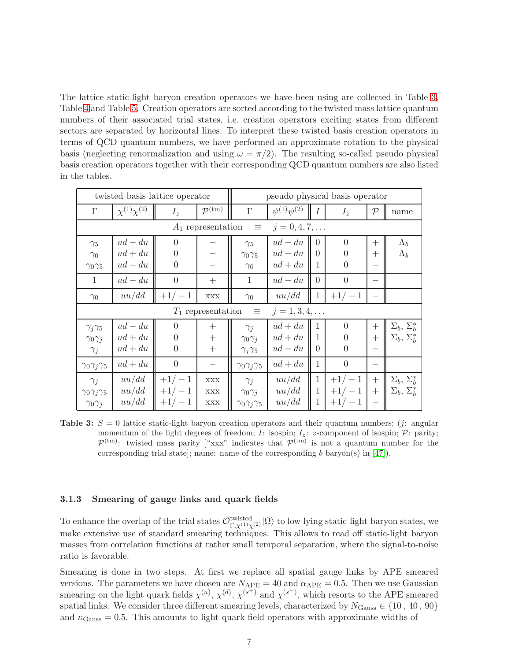The lattice static-light baryon creation operators we have been using are collected in Table [3,](#page-7-0) Table [4](#page-8-0) and Table [5.](#page-9-0) Creation operators are sorted according to the twisted mass lattice quantum numbers of their associated trial states, i.e. creation operators exciting states from different sectors are separated by horizontal lines. To interpret these twisted basis creation operators in terms of QCD quantum numbers, we have performed an approximate rotation to the physical basis (neglecting renormalization and using  $\omega = \pi/2$ ). The resulting so-called pseudo physical basis creation operators together with their corresponding QCD quantum numbers are also listed in the tables.

<span id="page-7-0"></span>

| twisted basis lattice operator |                        |                |                               | pseudo physical basis operator |                        |                  |                |            |                           |
|--------------------------------|------------------------|----------------|-------------------------------|--------------------------------|------------------------|------------------|----------------|------------|---------------------------|
| $\Gamma$                       | $\chi^{(1)}\chi^{(2)}$ | $I_z$          | $\mathcal{P}^{(\mathrm{tm})}$ | $\Gamma$                       | $\psi^{(1)}\psi^{(2)}$ | $\boldsymbol{I}$ | $I_z$          | ${\cal P}$ | name                      |
|                                |                        |                | $A_1$ representation          | $\equiv$                       | $j = 0, 4, 7, \ldots$  |                  |                |            |                           |
| $\gamma_5$                     | $ud - du$              | $\Omega$       |                               | $\gamma_5$                     | $ud - du$              | $\Omega$         | $\Omega$       | $^{+}$     | $\Lambda_b$               |
| $\gamma_0$                     | $ud + du$              | $\Omega$       |                               | $\gamma_0\gamma_5$             | $ud - du$              | $\Omega$         | $\Omega$       | $^{+}$     | $\Lambda_b$               |
| $\gamma_0\gamma_5$             | $ud - du$              | $\Omega$       |                               | $\gamma_0$                     | $ud + du$              | 1                | $\Omega$       |            |                           |
| $\mathbf{1}$                   | $ud - du$              | $\overline{0}$ |                               | $\mathbf{1}$                   | $ud - du$              | $\overline{0}$   | $\overline{0}$ |            |                           |
| $\gamma_0$                     | uu/dd                  | $+1/-1$        | <b>XXX</b>                    | $\gamma_0$                     | uu/dd                  | $\mathbf{1}$     | $+1/-1$        |            |                           |
|                                |                        |                | $T_1$ representation          | $\equiv$                       | $j = 1, 3, 4, \ldots$  |                  |                |            |                           |
| $\gamma_j\gamma_5$             | $ud - du$              | $\Omega$       | $\hspace{0.1mm} +$            | $\gamma_j$                     | $ud + du$              | 1                | $\Omega$       | $^{+}$     | $\Sigma_b$ , $\Sigma_b^*$ |
| $\gamma_0 \gamma_j$            | $ud + du$              | $\Omega$       | $\boldsymbol{+}$              | $\gamma_0 \gamma_j$            | $ud + du$              | 1                | $\Omega$       | $^{+}$     | $\Sigma_b$ , $\Sigma_b^*$ |
| $\gamma_j$                     | $ud + du$              | $\Omega$       | $^{+}$                        | $\gamma_j\gamma_5$             | $ud - du$              | $\theta$         | $\overline{0}$ |            |                           |
| $\gamma_0 \gamma_j \gamma_5$   | $ud + du$              | $\Omega$       |                               | $\gamma_0 \gamma_j \gamma_5$   | $ud + du$              | 1                | $\theta$       |            |                           |
| $\gamma_j$                     | uu/dd                  | $+1/-1$        | <b>XXX</b>                    | $\gamma_j$                     | uu/dd                  | 1                | $+1/-1$        | $^{+}$     | $\Sigma_b$ , $\Sigma_b^*$ |
| $\gamma_0\gamma_j\gamma_5$     | uu/dd                  | $+1/-1$        | <b>XXX</b>                    | $\gamma_0 \gamma_j$            | uu/dd                  | 1                | $+1/-1$        | $^{+}$     | $\Sigma_b$ , $\Sigma_b^*$ |
| $\gamma_0 \gamma_j$            | uu/dd                  | $+1/-1$        | $\mathbf{XXX}$                | $\gamma_0 \gamma_j \gamma_5$   | uu/dd                  | $\mathbf 1$      | $+1/-1$        |            |                           |

**Table 3:**  $S = 0$  lattice static-light baryon creation operators and their quantum numbers; (*j*: angular momentum of the light degrees of freedom; I: isospin;  $I_z$ :  $z$ -component of isospin;  $\mathcal{P}$ : parity;  $\mathcal{P}^{(tm)}$ : twisted mass parity ["xxx" indicates that  $\mathcal{P}^{(tm)}$  is not a quantum number for the corresponding trial state]; name: name of the corresponding b baryon(s) in  $[47]$ .

#### 3.1.3 Smearing of gauge links and quark fields

To enhance the overlap of the trial states  $\mathcal{O}_{\Gamma,\chi^{(1)}\chi^{(2)}}^{\text{twisted}}|\Omega\rangle$  to low lying static-light baryon states, we make extensive use of standard smearing techniques. This allows to read off static-light baryon masses from correlation functions at rather small temporal separation, where the signal-to-noise ratio is favorable.

Smearing is done in two steps. At first we replace all spatial gauge links by APE smeared versions. The parameters we have chosen are  $N_{\text{APE}} = 40$  and  $\alpha_{\text{APE}} = 0.5$ . Then we use Gaussian smearing on the light quark fields  $\chi^{(u)}$ ,  $\chi^{(d)}$ ,  $\chi^{(s^+)}$  and  $\chi^{(s^-)}$ , which resorts to the APE smeared spatial links. We consider three different smearing levels, characterized by  $N_{\text{Gauss}} \in \{10, 40, 90\}$ and  $\kappa_{\text{Gauss}} = 0.5$ . This amounts to light quark field operators with approximate widths of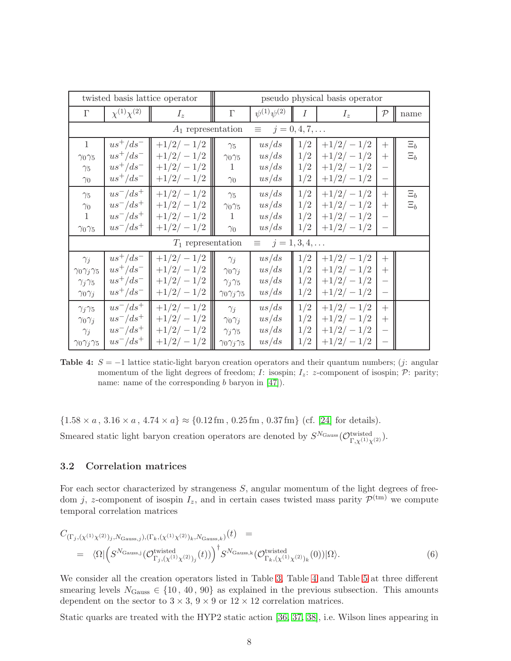<span id="page-8-0"></span>

|                              | twisted basis lattice operator |                      | pseudo physical basis operator |                        |                       |             |                          |         |
|------------------------------|--------------------------------|----------------------|--------------------------------|------------------------|-----------------------|-------------|--------------------------|---------|
| $\Gamma$                     | $\chi^{(1)}\chi^{(2)}$         | $I_z$                | $\Gamma$                       | $\psi^{(1)}\psi^{(2)}$ | $\overline{I}$        | $I_z$       | $\mathcal{P}$            | name    |
|                              |                                | $A_1$ representation |                                | $\equiv$               | $j = 0, 4, 7, \ldots$ |             |                          |         |
| 1                            | $us^+/ds^-$                    | $+1/2/-1/2$          | $\gamma_5$                     | us/ds                  | 1/2                   | $+1/2/-1/2$ | $^{+}$                   | $\Xi_b$ |
| $\gamma_0\gamma_5$           | $us^+/ds^-$                    | $+1/2/-1/2$          | $\gamma_0\gamma_5$             | us/ds                  | 1/2                   | $+1/2/-1/2$ | $+$                      | $\Xi_b$ |
| $\gamma_5$                   | $us^+/ds^-$                    | $+1/2/-1/2$          | 1                              | us/ds                  | 1/2                   | $+1/2/-1/2$ | $\qquad \qquad -$        |         |
| $\gamma_0$                   | $us^+/ds^-$                    | $+1/2/-1/2$          | $\gamma_0$                     | us/ds                  | 1/2                   | $+1/2/-1/2$ | $\overline{\phantom{0}}$ |         |
| $\gamma_5$                   | $us^-/ds^+$                    | $+1/2/-1/2$          | $\gamma_5$                     | us/ds                  | 1/2                   | $+1/2/-1/2$ | $^{+}$                   | $\Xi_b$ |
| $\gamma_0$                   | $us^-/ds^+$                    | $+1/2/-1/2$          | $\gamma_0\gamma_5$             | us/ds                  | 1/2                   | $+1/2/-1/2$ | $+$                      | $\Xi_b$ |
| $\mathbf{1}$                 | $us^-/ds^+$                    | $+1/2/-1/2$          | 1                              | us/ds                  | 1/2                   | $+1/2/-1/2$ |                          |         |
| $\gamma_0\gamma_5$           | $us^-/ds^+$                    | $+1/2/-1/2$          | $\gamma_0$                     | us/ds                  | 1/2                   | $+1/2/-1/2$ | $\qquad \qquad -$        |         |
|                              |                                | $T_1$ representation |                                | $\equiv$               | $j = 1, 3, 4, \ldots$ |             |                          |         |
| $\gamma_j$                   | $us^+/ds^-$                    | $+1/2/-1/2$          | $\gamma_i$                     | us/ds                  | 1/2                   | $+1/2/-1/2$ | $+$                      |         |
| $\gamma_0\gamma_j\gamma_5$   | $us^+/ds^-$                    | $+1/2/-1/2$          | $\gamma_0 \gamma_j$            | us/ds                  | 1/2                   | $+1/2/-1/2$ | $^{+}$                   |         |
| $\gamma_j\gamma_5$           | $us^+/ds^-$                    | $+1/2/-1/2$          | $\gamma_j\gamma_5$             | us/ds                  | 1/2                   | $+1/2/-1/2$ |                          |         |
| $\gamma_0 \gamma_j$          | $us^+/ds^-$                    | $+1/2/-1/2$          | $\gamma_0 \gamma_j \gamma_5$   | us/ds                  | 1/2                   | $+1/2/-1/2$ | $\overline{\phantom{m}}$ |         |
| $\gamma_j\gamma_5$           | $us^-/ds^+$                    | $+1/2/-1/2$          | $\gamma_j$                     | us/ds                  | 1/2                   | $+1/2/-1/2$ | $+$                      |         |
| $\gamma_0 \gamma_j$          | $us^-/ds^+$                    | $+1/2/-1/2$          | $\gamma_0 \gamma_j$            | us/ds                  | 1/2                   | $+1/2/-1/2$ | $^{+}$                   |         |
| $\gamma_j$                   | $us^-/ds^+$                    | $+1/2/-1/2$          | $\gamma_j\gamma_5$             | us/ds                  | 1/2                   | $+1/2/-1/2$ | $\qquad \qquad -$        |         |
| $\gamma_0 \gamma_j \gamma_5$ | $us^-/ds^+$                    | $+1/2/-1/2$          | $\gamma_0 \gamma_j \gamma_5$   | us/ds                  | 1/2                   | $+1/2/-1/2$ | $\overline{\phantom{m}}$ |         |

Table 4:  $S = -1$  lattice static-light baryon creation operators and their quantum numbers; (j: angular momentum of the light degrees of freedom; I: isospin;  $I_z$ :  $z$ -component of isospin;  $\mathcal{P}$ : parity; name: name of the corresponding b baryon in [\[47\]](#page-28-0)).

 ${1.58 \times a, 3.16 \times a, 4.74 \times a} \approx {0.12 \text{ fm}, 0.25 \text{ fm}, 0.37 \text{ fm}}$  (cf. [\[24\]](#page-26-12) for details). Smeared static light baryon creation operators are denoted by  $S^{N_{\text{Gauss}}}(\mathcal{O}_{\Gamma,\chi^{(1)}\chi^{(2)}}^{\text{twisted}})$ .

#### 3.2 Correlation matrices

For each sector characterized by strangeness  $S$ , angular momentum of the light degrees of freedom j, z-component of isospin  $I_z$ , and in certain cases twisted mass parity  $\mathcal{P}^{(tm)}$  we compute temporal correlation matrices

<span id="page-8-1"></span>
$$
C_{\left(\Gamma_j,\left(\chi^{(1)}\chi^{(2)}\right)_j,N_{\text{Gauss},j}\right),\left(\Gamma_k,\left(\chi^{(1)}\chi^{(2)}\right)_k,N_{\text{Gauss},k}\right)}(t) =\n\begin{aligned}\n&\left.\langle\Omega|\left(S^{N_{\text{Gauss},j}}\left(\mathcal{O}_{\Gamma_j,\left(\chi^{(1)}\chi^{(2)}\right)_j}(t)\right)\right)^{\dagger}S^{N_{\text{Gauss},k}}\left(\mathcal{O}_{\Gamma_k,\left(\chi^{(1)}\chi^{(2)}\right)_k}(0)\right)|\Omega\right\rangle.\n\end{aligned}\n\tag{6}
$$

We consider all the creation operators listed in Table [3,](#page-7-0) Table [4](#page-8-0) and Table [5](#page-9-0) at three different smearing levels  $N_{\text{Gauss}} \in \{10, 40, 90\}$  as explained in the previous subsection. This amounts dependent on the sector to  $3 \times 3$ ,  $9 \times 9$  or  $12 \times 12$  correlation matrices.

Static quarks are treated with the HYP2 static action [\[36,](#page-27-8) [37,](#page-27-9) [38\]](#page-27-10), i.e. Wilson lines appearing in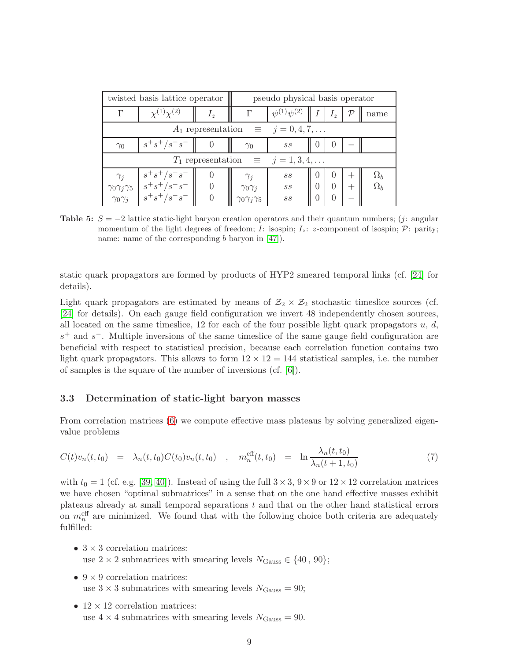<span id="page-9-0"></span>

|                                                   | twisted basis lattice operator  | pseudo physical basis operator |                              |                          |          |           |       |            |  |  |
|---------------------------------------------------|---------------------------------|--------------------------------|------------------------------|--------------------------|----------|-----------|-------|------------|--|--|
| Г                                                 | $\chi^{(1)}\chi^{(2)}$<br>$I_z$ |                                |                              | $\psi^{(1)}\psi^{(2)}$   |          | t $I_z$ 1 |       | name       |  |  |
| $A_1$ representation $\equiv j = 0, 4, 7, \dots$  |                                 |                                |                              |                          |          |           |       |            |  |  |
| $\gamma_0$                                        | $s^+s^+/s^-s^-$                 |                                | $\gamma_0$                   | SS                       | $\theta$ | $\cup$    |       |            |  |  |
| $T_1$ representation $\equiv j = 1, 3, 4, \ldots$ |                                 |                                |                              |                          |          |           |       |            |  |  |
| $\gamma_j$                                        | $s^+s^+/s^-s^-$                 |                                | $\gamma_j$                   | $\mathcal{S}\mathcal{S}$ | $\theta$ | $\theta$  | $\pm$ | $\Omega_b$ |  |  |
| $\gamma_0\gamma_j\gamma_5$                        | $s^+s^+/s^-s^-$                 |                                | $\gamma_0 \gamma_j$          | $\mathcal{S}\mathcal{S}$ | $\theta$ | $\Omega$  | $^+$  | $\Omega_b$ |  |  |
| $\gamma_0 \gamma_j$                               | $s^+s^+/s^-s^-$                 |                                | $\gamma_0 \gamma_j \gamma_5$ | SS                       | $\left($ |           |       |            |  |  |

**Table 5:**  $S = -2$  lattice static-light baryon creation operators and their quantum numbers; (j: angular momentum of the light degrees of freedom; I: isospin;  $I_z$ : z-component of isospin;  $\mathcal{P}$ : parity; name: name of the corresponding  $b$  baryon in [\[47\]](#page-28-0)).

static quark propagators are formed by products of HYP2 smeared temporal links (cf. [\[24\]](#page-26-12) for details).

Light quark propagators are estimated by means of  $\mathcal{Z}_2 \times \mathcal{Z}_2$  stochastic timeslice sources (cf. [\[24\]](#page-26-12) for details). On each gauge field configuration we invert 48 independently chosen sources, all located on the same timeslice, 12 for each of the four possible light quark propagators  $u, d$ ,  $s<sup>+</sup>$  and s<sup>-</sup>. Multiple inversions of the same timeslice of the same gauge field configuration are beneficial with respect to statistical precision, because each correlation function contains two light quark propagators. This allows to form  $12 \times 12 = 144$  statistical samples, i.e. the number of samples is the square of the number of inversions (cf. [\[6\]](#page-25-5)).

#### <span id="page-9-1"></span>3.3 Determination of static-light baryon masses

From correlation matrices [\(6\)](#page-8-1) we compute effective mass plateaus by solving generalized eigenvalue problems

$$
C(t)v_n(t, t_0) = \lambda_n(t, t_0)C(t_0)v_n(t, t_0) , \quad m_n^{\text{eff}}(t, t_0) = \ln \frac{\lambda_n(t, t_0)}{\lambda_n(t + 1, t_0)}
$$
(7)

with  $t_0 = 1$  (cf. e.g. [\[39,](#page-27-11) [40\]](#page-27-12)). Instead of using the full  $3 \times 3$ ,  $9 \times 9$  or  $12 \times 12$  correlation matrices we have chosen "optimal submatrices" in a sense that on the one hand effective masses exhibit plateaus already at small temporal separations  $t$  and that on the other hand statistical errors on  $m_n^{\text{eff}}$  are minimized. We found that with the following choice both criteria are adequately fulfilled:

- $3 \times 3$  correlation matrices: use  $2 \times 2$  submatrices with smearing levels  $N_{\text{Gauss}} \in \{40, 90\};$
- $9 \times 9$  correlation matrices: use  $3 \times 3$  submatrices with smearing levels  $N_{\text{Gauss}} = 90$ ;
- 12  $\times$  12 correlation matrices: use  $4 \times 4$  submatrices with smearing levels  $N_{\text{Gauss}} = 90$ .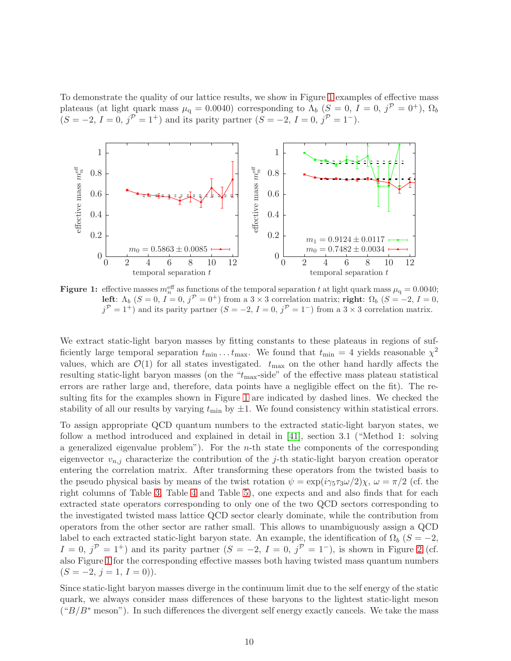To demonstrate the quality of our lattice results, we show in Figure [1](#page-10-0) examples of effective mass plateaus (at light quark mass  $\mu_q = 0.0040$ ) corresponding to  $\Lambda_b$  ( $S = 0$ ,  $I = 0$ ,  $j^{\mathcal{P}} = 0^+$ ),  $\Omega_b$  $(S = -2, I = 0, j^{\mathcal{P}} = 1^+)$  and its parity partner  $(S = -2, I = 0, j^{\mathcal{P}} = 1^-)$ .

<span id="page-10-0"></span>

**Figure 1:** effective masses  $m_n^{\text{eff}}$  as functions of the temporal separation t at light quark mass  $\mu_q = 0.0040$ ; left:  $\Lambda_b$   $(S = 0, I = 0, j^{\mathcal{P}} = 0^+)$  from a  $3 \times 3$  correlation matrix; right:  $\Omega_b$   $(S = -2, I = 0, j^{\mathcal{P}} = 0^+)$  $j^{\mathcal{P}} = 1^+$ ) and its parity partner  $(S = -2, I = 0, j^{\mathcal{P}} = 1^-)$  from a 3 × 3 correlation matrix.

We extract static-light baryon masses by fitting constants to these plateaus in regions of sufficiently large temporal separation  $t_{\min} \dots t_{\max}$ . We found that  $t_{\min} = 4$  yields reasonable  $\chi^2$ values, which are  $\mathcal{O}(1)$  for all states investigated.  $t_{\text{max}}$  on the other hand hardly affects the resulting static-light baryon masses (on the " $t_{\text{max}}$ -side" of the effective mass plateau statistical errors are rather large and, therefore, data points have a negligible effect on the fit). The resulting fits for the examples shown in Figure [1](#page-10-0) are indicated by dashed lines. We checked the stability of all our results by varying  $t_{\min}$  by  $\pm 1$ . We found consistency within statistical errors.

To assign appropriate QCD quantum numbers to the extracted static-light baryon states, we follow a method introduced and explained in detail in [\[41\]](#page-27-13), section 3.1 ("Method 1: solving a generalized eigenvalue problem"). For the  $n$ -th state the components of the corresponding eigenvector  $v_{n,i}$  characterize the contribution of the j-th static-light baryon creation operator entering the correlation matrix. After transforming these operators from the twisted basis to the pseudo physical basis by means of the twist rotation  $\psi = \exp(i\gamma_5 \tau_3 \omega/2)\chi$ ,  $\omega = \pi/2$  (cf. the right columns of Table [3,](#page-7-0) Table [4](#page-8-0) and Table [5\)](#page-9-0), one expects and and also finds that for each extracted state operators corresponding to only one of the two QCD sectors corresponding to the investigated twisted mass lattice QCD sector clearly dominate, while the contribution from operators from the other sector are rather small. This allows to unambiguously assign a QCD label to each extracted static-light baryon state. An example, the identification of  $\Omega_b$  ( $S = -2$ ,  $I = 0, j^{\mathcal{P}} = 1^+$ ) and its parity partner  $(S = -2, I = 0, j^{\mathcal{P}} = 1^-)$ , is shown in Figure [2](#page-11-0) (cf. also Figure [1](#page-10-0) for the corresponding effective masses both having twisted mass quantum numbers  $(S = -2, j = 1, I = 0).$ 

Since static-light baryon masses diverge in the continuum limit due to the self energy of the static quark, we always consider mass differences of these baryons to the lightest static-light meson  $("B/B*$  meson"). In such differences the divergent self energy exactly cancels. We take the mass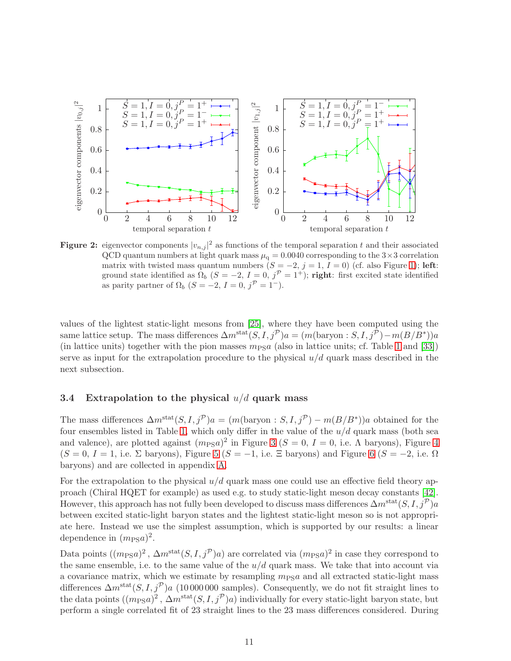<span id="page-11-0"></span>

**Figure 2:** eigenvector components  $|v_{n,j}|^2$  as functions of the temporal separation t and their associated QCD quantum numbers at light quark mass  $\mu_q = 0.0040$  corresponding to the  $3 \times 3$  correlation matrix with twisted mass quantum numbers  $(S = -2, j = 1, I = 0)$  (cf. also Figure [1\)](#page-10-0); left: ground state identified as  $\Omega_b$   $(S = -2, I = 0, j^P = 1^+)$ ; right: first excited state identified as parity partner of  $\Omega_b$   $(S = -2, I = 0, j^{\mathcal{P}} = 1^-).$ 

values of the lightest static-light mesons from [\[25\]](#page-26-13), where they have been computed using the same lattice setup. The mass differences  $\Delta m^{\text{stat}}(S, I, j^{\mathcal{P}})a = (m(\text{baryon}: S, I, j^{\mathcal{P}}) - m(B/B^*))a$ (in lattice units) together with the pion masses  $m<sub>PS</sub>a$  (also in lattice units; cf. Table [1](#page-3-1) and [\[33\]](#page-27-5)) serve as input for the extrapolation procedure to the physical  $u/d$  quark mass described in the next subsection.

#### <span id="page-11-1"></span>3.4 Extrapolation to the physical  $u/d$  quark mass

The mass differences  $\Delta m^{\text{stat}}(S, I, j^{\mathcal{P}})a = (m(\text{baryon} : S, I, j^{\mathcal{P}}) - m(B/B^*))a$  obtained for the four ensembles listed in Table [1,](#page-3-1) which only differ in the value of the  $u/d$  quark mass (both sea and valence), are plotted against  $(m_{PS}a)^2$  in Figure [3](#page-12-0) ( $S = 0$ ,  $I = 0$ , i.e.  $\Lambda$  baryons), Figure [4](#page-13-0)  $(S = 0, I = 1, i.e. \Sigma$  baryons), Figure [5](#page-14-0)  $(S = -1, i.e. \Xi$  baryons) and Figure [6](#page-15-0)  $(S = -2, i.e. \Omega)$ baryons) and are collected in appendix [A.](#page-24-0)

For the extrapolation to the physical  $u/d$  quark mass one could use an effective field theory approach (Chiral HQET for example) as used e.g. to study static-light meson decay constants [\[42\]](#page-27-14). However, this approach has not fully been developed to discuss mass differences  $\Delta m^{\text{stat}}(S, I, j^{\mathcal{P}})a$ between excited static-light baryon states and the lightest static-light meson so is not appropriate here. Instead we use the simplest assumption, which is supported by our results: a linear dependence in  $(m_{PS}a)^2$ .

Data points  $((m_{PS}a)^2, \Delta m^{\text{stat}}(S, I, j^{\mathcal{P}})a)$  are correlated via  $(m_{PS}a)^2$  in case they correspond to the same ensemble, i.e. to the same value of the  $u/d$  quark mass. We take that into account via a covariance matrix, which we estimate by resampling  $m<sub>PS</sub>a$  and all extracted static-light mass differences  $\Delta m^{\text{stat}}(S, I, j^{\mathcal{P}})$ a (10 000 000 samples). Consequently, we do not fit straight lines to the data points  $((m_{PS}a)^2, \Delta m^{\text{stat}}(S, I, j^{\mathcal{P}})a)$  individually for every static-light baryon state, but perform a single correlated fit of 23 straight lines to the 23 mass differences considered. During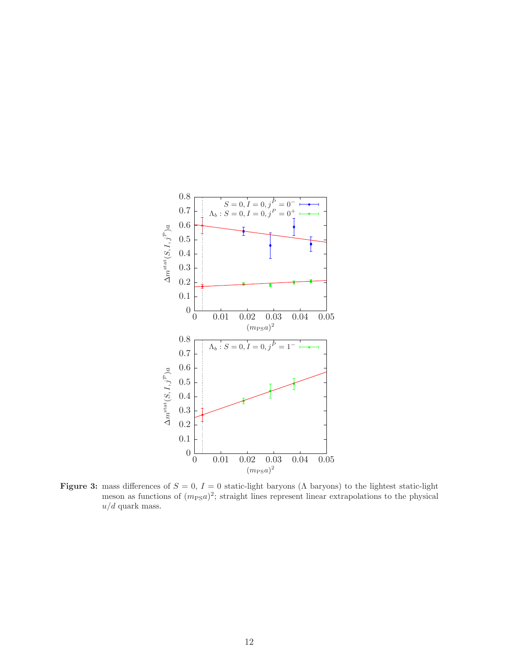<span id="page-12-0"></span>

**Figure 3:** mass differences of  $S = 0$ ,  $I = 0$  static-light baryons ( $\Lambda$  baryons) to the lightest static-light meson as functions of  $(m_{PS}a)^2$ ; straight lines represent linear extrapolations to the physical  $u/d$  quark mass.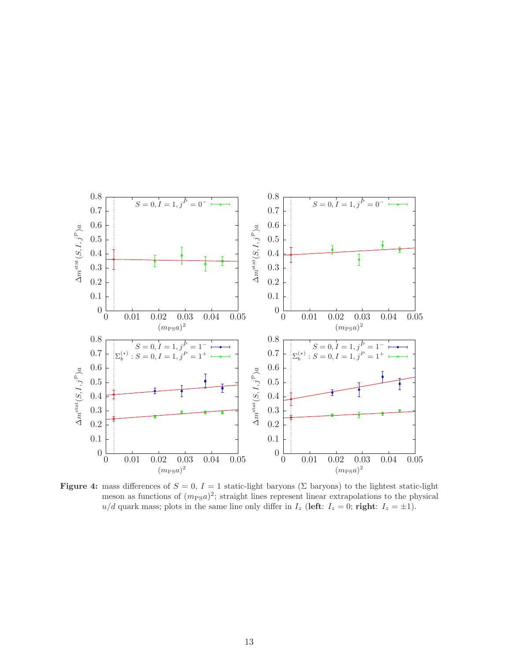<span id="page-13-0"></span>

Figure 4: mass differences of  $S = 0$ ,  $I = 1$  static-light baryons (Σ baryons) to the lightest static-light meson as functions of  $(m_{PS}a)^2$ ; straight lines represent linear extrapolations to the physical  $u/d$  quark mass; plots in the same line only differ in  $I_z$  (left:  $I_z = 0$ ; right:  $I_z = \pm 1$ ).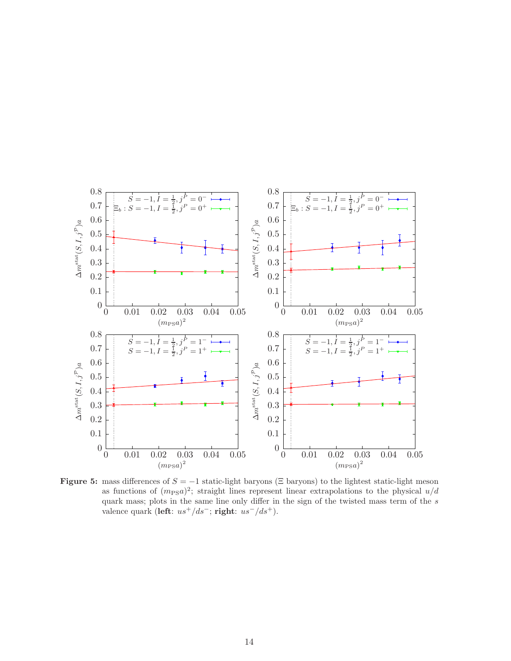<span id="page-14-0"></span>

Figure 5: mass differences of  $S = -1$  static-light baryons ( $\Xi$  baryons) to the lightest static-light meson as functions of  $(m_{PS}a)^2$ ; straight lines represent linear extrapolations to the physical  $u/d$ quark mass; plots in the same line only differ in the sign of the twisted mass term of the s valence quark (left:  $us^{+}/ds^{-}$ ; right:  $us^{-}/ds^{+}$ ).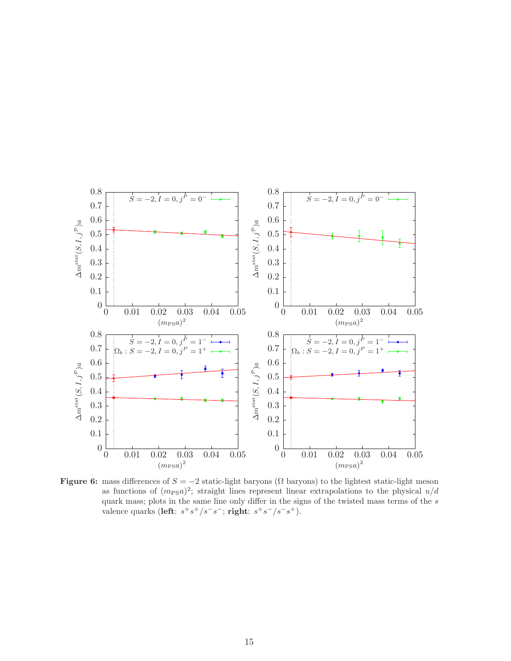<span id="page-15-0"></span>

Figure 6: mass differences of  $S = -2$  static-light baryons ( $\Omega$  baryons) to the lightest static-light meson as functions of  $(m_{PS}a)^2$ ; straight lines represent linear extrapolations to the physical  $u/d$ quark mass; plots in the same line only differ in the signs of the twisted mass terms of the  $s$ valence quarks (left:  $s^+s^+/s^-s^-$ ; right:  $s^+s^-/s^-s^+$ ).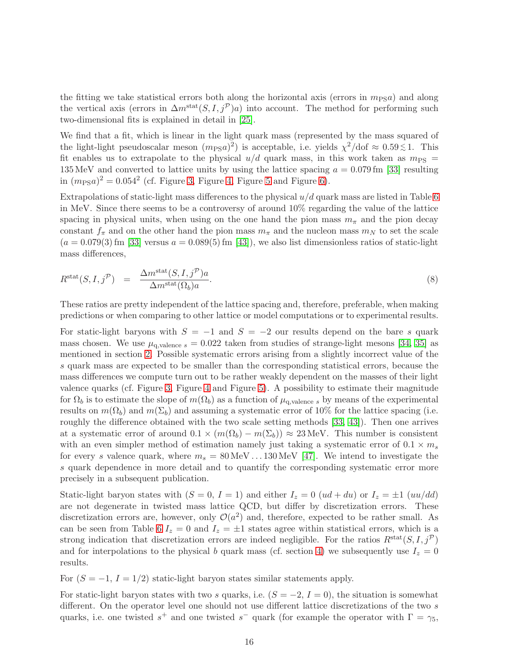the fitting we take statistical errors both along the horizontal axis (errors in  $m_{PS}a$ ) and along the vertical axis (errors in  $\Delta m^{\text{stat}}(S, I, j^{\mathcal{P}})a)$  into account. The method for performing such two-dimensional fits is explained in detail in [\[25\]](#page-26-13).

We find that a fit, which is linear in the light quark mass (represented by the mass squared of the light-light pseudoscalar meson  $(m_{PS}a)^2$  is acceptable, i.e. yields  $\chi^2/dof \approx 0.59 \lesssim 1$ . This fit enables us to extrapolate to the physical  $u/d$  quark mass, in this work taken as  $m_{PS}$  = 135 MeV and converted to lattice units by using the lattice spacing  $a = 0.079$  fm [\[33\]](#page-27-5) resulting in  $(m_{PS}a)^2 = 0.054^2$  (cf. Figure [3,](#page-12-0) Figure [4,](#page-13-0) Figure [5](#page-14-0) and Figure [6\)](#page-15-0).

Extrapolations of static-light mass differences to the physical  $u/d$  quark mass are listed in Table [6](#page-17-0) in MeV. Since there seems to be a controversy of around 10% regarding the value of the lattice spacing in physical units, when using on the one hand the pion mass  $m<sub>\pi</sub>$  and the pion decay constant  $f_{\pi}$  and on the other hand the pion mass  $m_{\pi}$  and the nucleon mass  $m_N$  to set the scale  $(a = 0.079(3)$  fm [\[33\]](#page-27-5) versus  $a = 0.089(5)$  fm [\[43\]](#page-27-15)), we also list dimensionless ratios of static-light mass differences,

<span id="page-16-0"></span>
$$
R^{\text{stat}}(S, I, j^{\mathcal{P}}) = \frac{\Delta m^{\text{stat}}(S, I, j^{\mathcal{P}})a}{\Delta m^{\text{stat}}(\Omega_b)a}.
$$
\n(8)

These ratios are pretty independent of the lattice spacing and, therefore, preferable, when making predictions or when comparing to other lattice or model computations or to experimental results.

For static-light baryons with  $S = -1$  and  $S = -2$  our results depend on the bare s quark mass chosen. We use  $\mu_{q,\text{valence }s} = 0.022$  taken from studies of strange-light mesons [\[34,](#page-27-6) [35\]](#page-27-7) as mentioned in section [2.](#page-3-0) Possible systematic errors arising from a slightly incorrect value of the s quark mass are expected to be smaller than the corresponding statistical errors, because the mass differences we compute turn out to be rather weakly dependent on the masses of their light valence quarks (cf. Figure [3,](#page-12-0) Figure [4](#page-13-0) and Figure [5\)](#page-14-0). A possibility to estimate their magnitude for  $\Omega_b$  is to estimate the slope of  $m(\Omega_b)$  as a function of  $\mu_{q, \text{valence } s}$  by means of the experimental results on  $m(\Omega_b)$  and  $m(\Sigma_b)$  and assuming a systematic error of 10% for the lattice spacing (i.e. roughly the difference obtained with the two scale setting methods [\[33,](#page-27-5) [43\]](#page-27-15)). Then one arrives at a systematic error of around  $0.1 \times (m(\Omega_b) - m(\Sigma_b)) \approx 23 \text{ MeV}$ . This number is consistent with an even simpler method of estimation namely just taking a systematic error of  $0.1 \times m_s$ for every s valence quark, where  $m_s = 80 \,\text{MeV} \dots 130 \,\text{MeV}$  [\[47\]](#page-28-0). We intend to investigate the s quark dependence in more detail and to quantify the corresponding systematic error more precisely in a subsequent publication.

Static-light baryon states with  $(S = 0, I = 1)$  and either  $I_z = 0$   $(ud + du)$  or  $I_z = \pm 1$   $(uu/dd)$ are not degenerate in twisted mass lattice QCD, but differ by discretization errors. These discretization errors are, however, only  $\mathcal{O}(a^2)$  and, therefore, expected to be rather small. As can be seen from Table [6](#page-17-0)  $I_z = 0$  and  $I_z = \pm 1$  states agree within statistical errors, which is a strong indication that discretization errors are indeed negligible. For the ratios  $R^{\text{stat}}(S, I, j^{\mathcal{P}})$ and for interpolations to the physical b quark mass (cf. section [4\)](#page-19-0) we subsequently use  $I_z = 0$ results.

For  $(S = -1, I = 1/2)$  static-light baryon states similar statements apply.

For static-light baryon states with two s quarks, i.e.  $(S = -2, I = 0)$ , the situation is somewhat different. On the operator level one should not use different lattice discretizations of the two s quarks, i.e. one twisted  $s^+$  and one twisted  $s^-$  quark (for example the operator with  $\Gamma = \gamma_5$ ,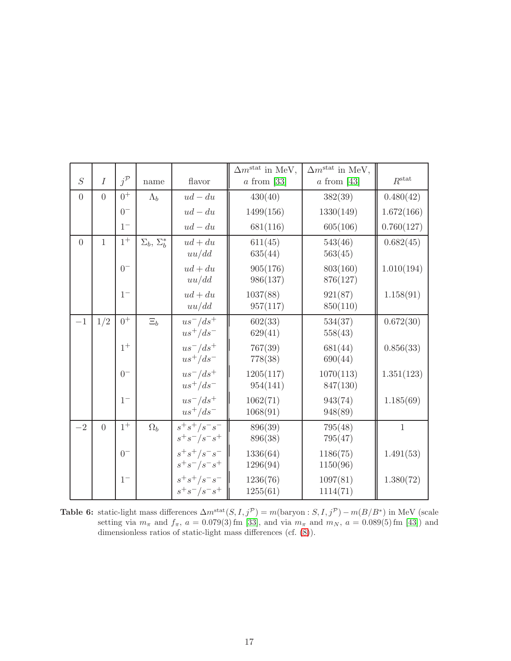<span id="page-17-0"></span>

|                |                |                   |                           |                       | $\Delta m^{\text{stat}}$ in MeV, | $\Delta m^{\text{stat}}$ in MeV, |                   |
|----------------|----------------|-------------------|---------------------------|-----------------------|----------------------------------|----------------------------------|-------------------|
| $\overline{S}$ | $\overline{I}$ | $j^{\mathcal{P}}$ | name                      | flavor                | $a$ from [33]                    | $a$ from [43]                    | $R^{\text{stat}}$ |
| $\overline{0}$ | $\overline{0}$ | $0^+$             | $\Lambda_b$               | $ud - du$             | 430(40)                          | 382(39)                          | 0.480(42)         |
|                |                | $0^{-}$           |                           | $ud - du$             | 1499(156)                        | 1330(149)                        | 1.672(166)        |
|                |                | $1-$              |                           | $ud - du$             | 681(116)                         | 605(106)                         | 0.760(127)        |
| $\overline{0}$ | $\mathbf{1}$   | $1^+$             | $\Sigma_b$ , $\Sigma_b^*$ | $ud + du$             | 611(45)                          | 543(46)                          | 0.682(45)         |
|                |                |                   |                           | uu/dd                 | 635(44)                          | 563(45)                          |                   |
|                |                | $0-$              |                           | $ud + du$             | 905(176)                         | 803(160)                         | 1.010(194)        |
|                |                |                   |                           | uu/dd                 | 986(137)                         | 876(127)                         |                   |
|                |                | $1-$              |                           | $ud + du$             | 1037(88)                         | 921(87)                          | 1.158(91)         |
|                |                |                   |                           | uu/dd                 | 957(117)                         | 850(110)                         |                   |
| $-1$           | 1/2            | $0^+$             | $\Xi_b$                   | $us^-/ds^+$           | 602(33)                          | 534(37)                          | 0.672(30)         |
|                |                |                   |                           | $us^+/ds^-$           | 629(41)                          | 558(43)                          |                   |
|                |                | $1^+$             |                           | $us^-/ds^+$           | 767(39)                          | 681(44)                          | 0.856(33)         |
|                |                |                   |                           | $us^+/ds^-$           | 778(38)                          | 690(44)                          |                   |
|                |                | $0-$              |                           | $us^-/ds^+$           | 1205(117)                        | 1070(113)                        | 1.351(123)        |
|                |                |                   |                           | $us^+/ds^-$           | 954(141)                         | 847(130)                         |                   |
|                |                | $1-$              |                           | $us^-/ds^+$           | 1062(71)                         | 943(74)                          | 1.185(69)         |
|                |                |                   |                           | $us^+/ds^-$           | 1068(91)                         | 948(89)                          |                   |
| $-2$           | $\overline{0}$ | $1^+$             | $\Omega_b$                | $s^+s^+/s^-s^-$       | 896(39)                          | 795(48)                          | $\mathbf{1}$      |
|                |                |                   |                           | $s^+s^-/s^-s^+$       | 896(38)                          | 795(47)                          |                   |
|                |                | $0-$              |                           | $s^+s^+/s^-\bar{s}^-$ | 1336(64)                         | 1186(75)                         | 1.491(53)         |
|                |                |                   |                           | $s^+s^-/s^-s^+$       | 1296(94)                         | 1150(96)                         |                   |
|                |                | $1-$              |                           | $s^+s^+/s^-s^-$       | 1236(76)                         | 1097(81)                         | 1.380(72)         |
|                |                |                   |                           | $s^+s^-/s^-s^+$       | 1255(61)                         | 1114(71)                         |                   |

**Table 6:** static-light mass differences  $\Delta m^{\text{stat}}(S, I, j^{\mathcal{P}}) = m(\text{baryon}: S, I, j^{\mathcal{P}}) - m(B/B^*)$  in MeV (scale setting via  $m_{\pi}$  and  $f_{\pi}$ ,  $a = 0.079(3)$  fm [\[33\]](#page-27-5), and via  $m_{\pi}$  and  $m_N$ ,  $a = 0.089(5)$  fm [\[43\]](#page-27-15)) and dimensionless ratios of static-light mass differences (cf. [\(8\)](#page-16-0)).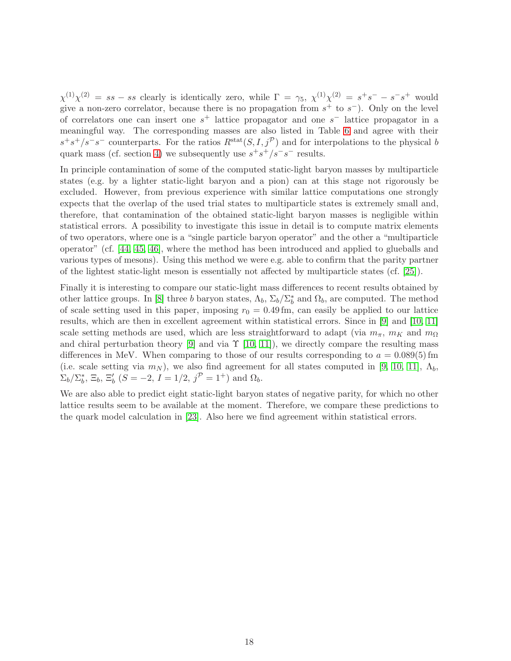$\chi^{(1)}\chi^{(2)} = ss - ss$  clearly is identically zero, while  $\Gamma = \gamma_5$ ,  $\chi^{(1)}\chi^{(2)} = s^+s^- - s^-s^+$  would give a non-zero correlator, because there is no propagation from  $s^+$  to  $s^-$ ). Only on the level of correlators one can insert one  $s^+$  lattice propagator and one  $s^-$  lattice propagator in a meaningful way. The corresponding masses are also listed in Table [6](#page-17-0) and agree with their  $s^+s^+/s^-s^-$  counterparts. For the ratios  $R^{\text{stat}}(S, I, j^{\mathcal{P}})$  and for interpolations to the physical b quark mass (cf. section [4\)](#page-19-0) we subsequently use  $s^+s^+/s^-s^-$  results.

In principle contamination of some of the computed static-light baryon masses by multiparticle states (e.g. by a lighter static-light baryon and a pion) can at this stage not rigorously be excluded. However, from previous experience with similar lattice computations one strongly expects that the overlap of the used trial states to multiparticle states is extremely small and, therefore, that contamination of the obtained static-light baryon masses is negligible within statistical errors. A possibility to investigate this issue in detail is to compute matrix elements of two operators, where one is a "single particle baryon operator" and the other a "multiparticle operator" (cf. [\[44,](#page-28-1) [45,](#page-28-2) [46\]](#page-28-3), where the method has been introduced and applied to glueballs and various types of mesons). Using this method we were e.g. able to confirm that the parity partner of the lightest static-light meson is essentially not affected by multiparticle states (cf. [\[25\]](#page-26-13)).

Finally it is interesting to compare our static-light mass differences to recent results obtained by other lattice groups. In [\[8\]](#page-25-7) three b baryon states,  $\Lambda_b$ ,  $\Sigma_b/\Sigma_b^*$  and  $\Omega_b$ , are computed. The method of scale setting used in this paper, imposing  $r_0 = 0.49$  fm, can easily be applied to our lattice results, which are then in excellent agreement within statistical errors. Since in [\[9\]](#page-25-8) and [\[10,](#page-25-9) [11\]](#page-25-10) scale setting methods are used, which are less straightforward to adapt (via  $m_{\pi}$ ,  $m_K$  and  $m_{\Omega}$ ) and chiral perturbation theory [\[9\]](#page-25-8) and via  $\Upsilon$  [\[10,](#page-25-9) [11\]](#page-25-10)), we directly compare the resulting mass differences in MeV. When comparing to those of our results corresponding to  $a = 0.089(5)$  fm (i.e. scale setting via  $m_N$ ), we also find agreement for all states computed in [\[9,](#page-25-8) [10,](#page-25-9) [11\]](#page-25-10),  $\Lambda_b$ ,  $\Sigma_b/\Sigma_b^*$ ,  $\Xi_b$ ,  $\Xi_b'$  ( $S = -2$ ,  $I = 1/2$ ,  $j^{\mathcal{P}} = 1^+$ ) and  $\Omega_b$ .

We are also able to predict eight static-light baryon states of negative parity, for which no other lattice results seem to be available at the moment. Therefore, we compare these predictions to the quark model calculation in [\[23\]](#page-26-11). Also here we find agreement within statistical errors.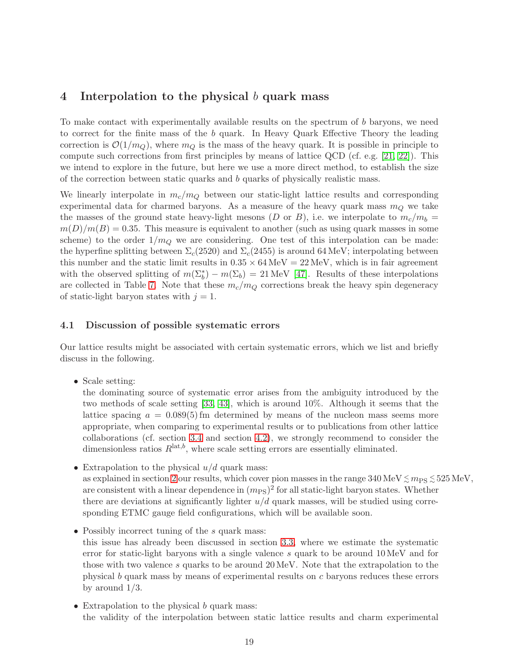## <span id="page-19-0"></span>4 Interpolation to the physical b quark mass

To make contact with experimentally available results on the spectrum of b baryons, we need to correct for the finite mass of the b quark. In Heavy Quark Effective Theory the leading correction is  $\mathcal{O}(1/m_Q)$ , where  $m_Q$  is the mass of the heavy quark. It is possible in principle to compute such corrections from first principles by means of lattice QCD (cf. e.g. [\[21,](#page-26-9) [22\]](#page-26-10)). This we intend to explore in the future, but here we use a more direct method, to establish the size of the correction between static quarks and b quarks of physically realistic mass.

We linearly interpolate in  $m_c/m_Q$  between our static-light lattice results and corresponding experimental data for charmed baryons. As a measure of the heavy quark mass  $m_Q$  we take the masses of the ground state heavy-light mesons (D or B), i.e. we interpolate to  $m_c/m_b =$  $m(D)/m(B) = 0.35$ . This measure is equivalent to another (such as using quark masses in some scheme) to the order  $1/m_Q$  we are considering. One test of this interpolation can be made: the hyperfine splitting between  $\Sigma_c(2520)$  and  $\Sigma_c(2455)$  is around 64 MeV; interpolating between this number and the static limit results in  $0.35 \times 64 \,\text{MeV} = 22 \,\text{MeV}$ , which is in fair agreement with the observed splitting of  $m(\Sigma_b^*) - m(\Sigma_b) = 21 \text{ MeV}$  [\[47\]](#page-28-0). Results of these interpolations are collected in Table [7.](#page-20-0) Note that these  $m_c/m_Q$  corrections break the heavy spin degeneracy of static-light baryon states with  $j = 1$ .

#### 4.1 Discussion of possible systematic errors

Our lattice results might be associated with certain systematic errors, which we list and briefly discuss in the following.

• Scale setting:

the dominating source of systematic error arises from the ambiguity introduced by the two methods of scale setting [\[33,](#page-27-5) [43\]](#page-27-15), which is around 10%. Although it seems that the lattice spacing  $a = 0.089(5)$  fm determined by means of the nucleon mass seems more appropriate, when comparing to experimental results or to publications from other lattice collaborations (cf. section [3.4](#page-11-1) and section [4.2\)](#page-21-0), we strongly recommend to consider the dimensionless ratios  $R^{\text{lat},b}$ , where scale setting errors are essentially eliminated.

- Extrapolation to the physical  $u/d$  quark mass: as explained in section [2](#page-3-0) our results, which cover pion masses in the range  $340\,\text{MeV}\lesssim m_\text{PS}\lesssim 525\,\text{MeV},$ are consistent with a linear dependence in  $(m_{PS})^2$  for all static-light baryon states. Whether there are deviations at significantly lighter  $u/d$  quark masses, will be studied using corresponding ETMC gauge field configurations, which will be available soon.
- Possibly incorrect tuning of the  $s$  quark mass: this issue has already been discussed in section [3.3,](#page-9-1) where we estimate the systematic error for static-light baryons with a single valence s quark to be around 10 MeV and for those with two valence s quarks to be around 20 MeV. Note that the extrapolation to the physical b quark mass by means of experimental results on c baryons reduces these errors by around 1/3.
- Extrapolation to the physical b quark mass: the validity of the interpolation between static lattice results and charm experimental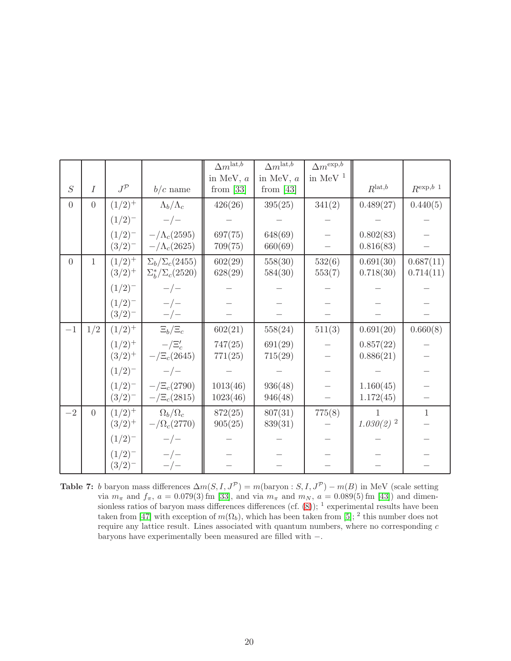<span id="page-20-0"></span>

|                |                |                   |                             | $\Delta m^{\text{lat},b}$ | $\Delta m^{\text{lat},b}$ | $\Delta m^{\rm exp, \overline{b}}$ |                         |                           |
|----------------|----------------|-------------------|-----------------------------|---------------------------|---------------------------|------------------------------------|-------------------------|---------------------------|
|                |                |                   |                             | in MeV, $a$               | in MeV, $a$               | in MeV $^1$                        |                         |                           |
| S              | $\overline{I}$ | $J^{\mathcal{P}}$ | $b/c$ name                  | from $[33]$               | from $[43]$               |                                    | $R^{\text{lat},b}$      | $R^{\exp,b}$ <sup>1</sup> |
| $\overline{0}$ | $\overline{0}$ | $(1/2)^{+}$       | $\Lambda_b/\Lambda_c$       | 426(26)                   | 395(25)                   | 341(2)                             | 0.489(27)               | 0.440(5)                  |
|                |                | $(1/2)^{-}$       | $-/-$                       |                           |                           |                                    |                         |                           |
|                |                | $(1/2)^{-}$       | $-\Lambda_c(2595)$          | 697(75)                   | 648(69)                   |                                    | 0.802(83)               |                           |
|                |                | $(3/2)^{-}$       | $-\Lambda_c(2625)$          | 709(75)                   | 660(69)                   |                                    | 0.816(83)               |                           |
| $\overline{0}$ | 1              | $(1/2)^{+}$       | $\Sigma_b/\Sigma_c(2455)$   | 602(29)                   | 558(30)                   | 532(6)                             | 0.691(30)               | 0.687(11)                 |
|                |                | $(3/2)^{+}$       | $\Sigma_b^*/\Sigma_c(2520)$ | 628(29)                   | 584(30)                   | 553(7)                             | 0.718(30)               | 0.714(11)                 |
|                |                | $(1/2)^{-}$       | $-/-$                       |                           |                           |                                    |                         |                           |
|                |                | $(1/2)^{-}$       | $-/-$                       |                           |                           |                                    |                         |                           |
|                |                | $(3/2)^{-}$       | $-/-$                       |                           |                           |                                    |                         |                           |
| $-1$           | 1/2            | $(1/2)^{+}$       | $\Xi_b/\Xi_c$               | 602(21)                   | 558(24)                   | 511(3)                             | 0.691(20)               | 0.660(8)                  |
|                |                | $(1/2)^{+}$       | $-/\Xi_c'$                  | 747(25)                   | 691(29)                   |                                    | 0.857(22)               |                           |
|                |                | $(3/2)^{+}$       | $-\sqrt{\Xi_c(2645)}$       | 771(25)                   | 715(29)                   |                                    | 0.886(21)               |                           |
|                |                | $(1/2)^{-}$       | $-/-$                       |                           |                           |                                    |                         |                           |
|                |                | $(1/2)^{-}$       | $-/\Xi_c(2790)$             | 1013(46)                  | 936(48)                   |                                    | 1.160(45)               |                           |
|                |                | $(3/2)^{-}$       | $-/\Xi_c(2815)$             | 1023(46)                  | 946(48)                   |                                    | 1.172(45)               |                           |
| $-2$           | $\overline{0}$ | $(1/2)^{+}$       | $\Omega_b/\Omega_c$         | 872(25)                   | 807(31)                   | 775(8)                             | 1                       | $\mathbf{1}$              |
|                |                | $(3/2)^{+}$       | $-\Omega_c(2770)$           | 905(25)                   | 839(31)                   |                                    | $1.030(2)$ <sup>2</sup> |                           |
|                |                | $(1/2)^{-}$       | $-/-$                       |                           |                           |                                    |                         |                           |
|                |                | $(1/2)^{-}$       | $-/-$                       |                           |                           |                                    |                         |                           |
|                |                | $(3/2)^{-}$       | $-/-$                       |                           |                           |                                    |                         |                           |

Table 7: b baryon mass differences  $\Delta m(S, I, J^{\mathcal{P}}) = m(\text{baryon} : S, I, J^{\mathcal{P}}) - m(B)$  in MeV (scale setting via  $m_{\pi}$  and  $f_{\pi}$ ,  $a = 0.079(3)$  fm [\[33\]](#page-27-5), and via  $m_{\pi}$  and  $m_N$ ,  $a = 0.089(5)$  fm [\[43\]](#page-27-15)) and dimensionless ratios of baryon mass differences differences (cf.  $(8)$ ); <sup>1</sup> experimental results have been taken from [\[47\]](#page-28-0) with exception of  $m(\Omega_b)$ , which has been taken from [\[5\]](#page-25-4); <sup>2</sup> this number does not require any lattice result. Lines associated with quantum numbers, where no corresponding  $c$ baryons have experimentally been measured are filled with −.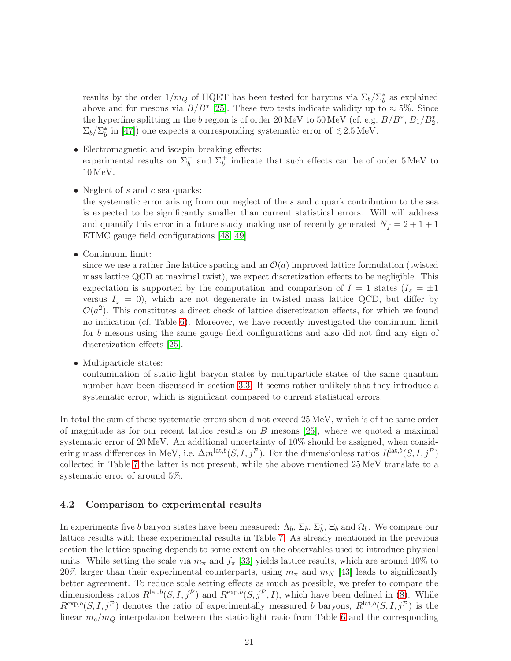results by the order  $1/m_Q$  of HQET has been tested for baryons via  $\Sigma_b/\Sigma_b^*$  as explained above and for mesons via  $B/B^*$  [\[25\]](#page-26-13). These two tests indicate validity up to  $\approx 5\%$ . Since the hyperfine splitting in the b region is of order 20 MeV to  $50 \,\text{MeV}$  (cf. e.g.  $B/B^*, B_1/B_2^*,$  $\Sigma_b/\Sigma_b^*$  in [\[47\]](#page-28-0)) one expects a corresponding systematic error of  $\lesssim 2.5 \,\mathrm{MeV}$ .

- Electromagnetic and isospin breaking effects: experimental results on  $\Sigma_b^-$  and  $\Sigma_b^+$  indicate that such effects can be of order 5 MeV to 10 MeV.
- Neglect of  $s$  and  $c$  sea quarks:

the systematic error arising from our neglect of the  $s$  and  $c$  quark contribution to the sea is expected to be significantly smaller than current statistical errors. Will will address and quantify this error in a future study making use of recently generated  $N_f = 2 + 1 + 1$ ETMC gauge field configurations [\[48,](#page-28-4) [49\]](#page-28-5).

• Continuum limit:

since we use a rather fine lattice spacing and an  $\mathcal{O}(a)$  improved lattice formulation (twisted mass lattice QCD at maximal twist), we expect discretization effects to be negligible. This expectation is supported by the computation and comparison of  $I = 1$  states  $(I_z = \pm 1)$ versus  $I_z = 0$ , which are not degenerate in twisted mass lattice QCD, but differ by  $\mathcal{O}(a^2)$ . This constitutes a direct check of lattice discretization effects, for which we found no indication (cf. Table [6\)](#page-17-0). Moreover, we have recently investigated the continuum limit for b mesons using the same gauge field configurations and also did not find any sign of discretization effects [\[25\]](#page-26-13).

• Multiparticle states:

contamination of static-light baryon states by multiparticle states of the same quantum number have been discussed in section [3.3.](#page-9-1) It seems rather unlikely that they introduce a systematic error, which is significant compared to current statistical errors.

In total the sum of these systematic errors should not exceed 25 MeV, which is of the same order of magnitude as for our recent lattice results on  $B$  mesons [\[25\]](#page-26-13), where we quoted a maximal systematic error of 20 MeV. An additional uncertainty of 10% should be assigned, when considering mass differences in MeV, i.e.  $\Delta m^{\text{lat},b}(S, I, j^{\mathcal{P}})$ . For the dimensionless ratios  $R^{\text{lat},b}(S, I, j^{\mathcal{P}})$ collected in Table [7](#page-20-0) the latter is not present, while the above mentioned 25 MeV translate to a systematic error of around 5%.

#### <span id="page-21-0"></span>4.2 Comparison to experimental results

In experiments five b baryon states have been measured:  $\Lambda_b$ ,  $\Sigma_b$ ,  $\Sigma_b^*$ ,  $\Xi_b$  and  $\Omega_b$ . We compare our lattice results with these experimental results in Table [7.](#page-20-0) As already mentioned in the previous section the lattice spacing depends to some extent on the observables used to introduce physical units. While setting the scale via  $m_{\pi}$  and  $f_{\pi}$  [\[33\]](#page-27-5) yields lattice results, which are around 10% to 20% larger than their experimental counterparts, using  $m_{\pi}$  and  $m_N$  [\[43\]](#page-27-15) leads to significantly better agreement. To reduce scale setting effects as much as possible, we prefer to compare the dimensionless ratios  $R^{\text{lat},b}(S, I, j^{\mathcal{P}})$  and  $R^{\text{exp},b}(S, j^{\mathcal{P}}, I)$ , which have been defined in [\(8\)](#page-16-0). While  $R^{\exp,b}(S, I, j^{\mathcal{P}})$  denotes the ratio of experimentally measured b baryons,  $R^{\text{lat},b}(S, I, j^{\mathcal{P}})$  is the linear  $m_c/m_Q$  interpolation between the static-light ratio from Table [6](#page-17-0) and the corresponding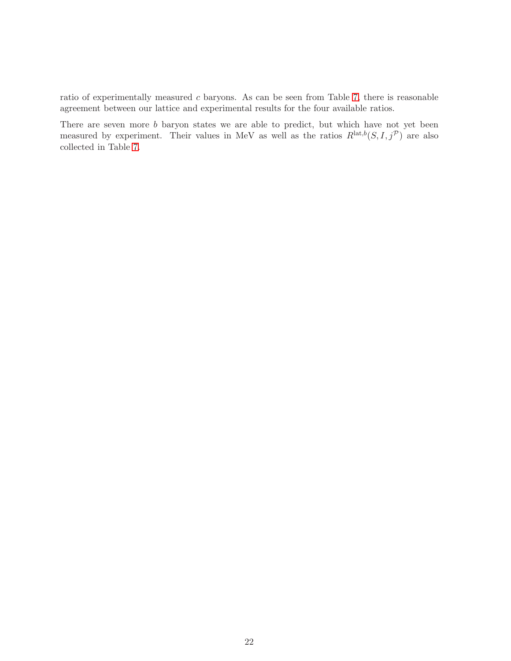ratio of experimentally measured c baryons. As can be seen from Table [7,](#page-20-0) there is reasonable agreement between our lattice and experimental results for the four available ratios.

There are seven more b baryon states we are able to predict, but which have not yet been measured by experiment. Their values in MeV as well as the ratios  $R^{\text{lat},b}(S, I, j^{\mathcal{P}})$  are also collected in Table [7.](#page-20-0)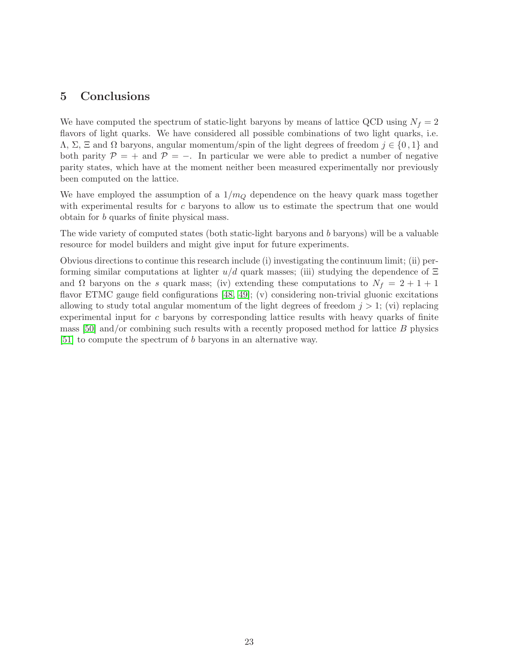## <span id="page-23-0"></span>5 Conclusions

We have computed the spectrum of static-light baryons by means of lattice QCD using  $N_f = 2$ flavors of light quarks. We have considered all possible combinations of two light quarks, i.e. Λ, Σ, Ξ and Ω baryons, angular momentum/spin of the light degrees of freedom j ∈ {0 , 1} and both parity  $\mathcal{P} = +$  and  $\mathcal{P} = -$ . In particular we were able to predict a number of negative parity states, which have at the moment neither been measured experimentally nor previously been computed on the lattice.

We have employed the assumption of a  $1/m_Q$  dependence on the heavy quark mass together with experimental results for c baryons to allow us to estimate the spectrum that one would obtain for b quarks of finite physical mass.

The wide variety of computed states (both static-light baryons and b baryons) will be a valuable resource for model builders and might give input for future experiments.

Obvious directions to continue this research include (i) investigating the continuum limit; (ii) performing similar computations at lighter  $u/d$  quark masses; (iii) studying the dependence of  $\Xi$ and  $\Omega$  baryons on the s quark mass; (iv) extending these computations to  $N_f = 2 + 1 + 1$ flavor ETMC gauge field configurations [\[48,](#page-28-4) [49\]](#page-28-5); (v) considering non-trivial gluonic excitations allowing to study total angular momentum of the light degrees of freedom  $j > 1$ ; (vi) replacing experimental input for c baryons by corresponding lattice results with heavy quarks of finite mass  $[50]$  and/or combining such results with a recently proposed method for lattice  $B$  physics [\[51\]](#page-28-7) to compute the spectrum of b baryons in an alternative way.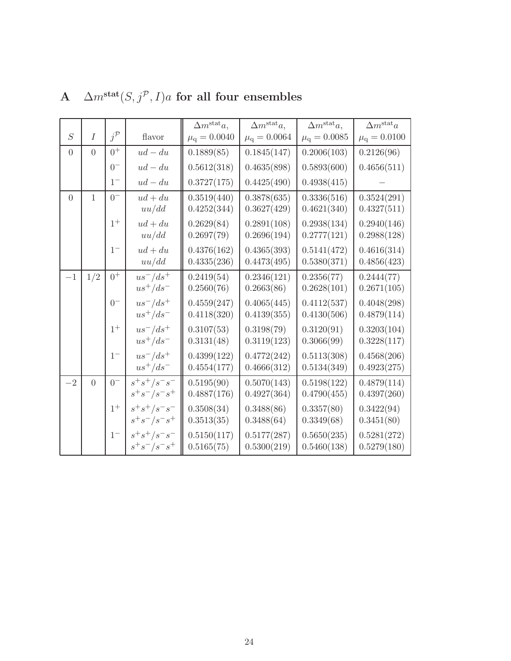|          |                |                   |                 | $\Delta m^{\text{stat}}a,$ | $\Delta m^{\text{stat}}a,$ | $\Delta m^{\text{stat}}a,$ | $\Delta m^{\text{stat}}a$ |
|----------|----------------|-------------------|-----------------|----------------------------|----------------------------|----------------------------|---------------------------|
| S        | Ι              | $j^{\mathcal{P}}$ | flavor          | $\mu_{\rm q} = 0.0040$     | $\mu_{\rm q} = 0.0064$     | $\mu_{\rm q} = 0.0085$     | $\mu_{\rm q} = 0.0100$    |
| $\Omega$ | $\overline{0}$ | $0^+$             | $ud-du$         | 0.1889(85)                 | 0.1845(147)                | 0.2006(103)                | 0.2126(96)                |
|          |                | $0-$              | $ud - du$       | 0.5612(318)                | 0.4635(898)                | 0.5893(600)                | 0.4656(511)               |
|          |                | $1^{-}$           | $ud - du$       | 0.3727(175)                | 0.4425(490)                | 0.4938(415)                |                           |
| $\Omega$ | $\mathbf{1}$   | $0^{-}$           | $ud + du$       | 0.3519(440)                | 0.3878(635)                | 0.3336(516)                | 0.3524(291)               |
|          |                |                   | uu/dd           | 0.4252(344)                | 0.3627(429)                | 0.4621(340)                | 0.4327(511)               |
|          |                | $1^+$             | $ud + du$       | 0.2629(84)                 | 0.2891(108)                | 0.2938(134)                | 0.2940(146)               |
|          |                |                   | uu/dd           | 0.2697(79)                 | 0.2696(194)                | 0.2777(121)                | 0.2988(128)               |
|          |                | $1-$              | $ud + du$       | 0.4376(162)                | 0.4365(393)                | 0.5141(472)                | 0.4616(314)               |
|          |                |                   | uu/dd           | 0.4335(236)                | 0.4473(495)                | 0.5380(371)                | 0.4856(423)               |
| $-1$     | 1/2            | $0^{+}$           | $us^-/ds^+$     | 0.2419(54)                 | 0.2346(121)                | 0.2356(77)                 | 0.2444(77)                |
|          |                |                   | $us^+/ds^-$     | 0.2560(76)                 | 0.2663(86)                 | 0.2628(101)                | 0.2671(105)               |
|          |                | $0-$              | $us^-/ds^+$     | 0.4559(247)                | 0.4065(445)                | 0.4112(537)                | 0.4048(298)               |
|          |                |                   | $us^+/ds^-$     | 0.4118(320)                | 0.4139(355)                | 0.4130(506)                | 0.4879(114)               |
|          |                | $1^+$             | $us^-/ds^+$     | 0.3107(53)                 | 0.3198(79)                 | 0.3120(91)                 | 0.3203(104)               |
|          |                |                   | $us^+/ds^-$     | 0.3131(48)                 | 0.3119(123)                | 0.3066(99)                 | 0.3228(117)               |
|          |                | $1-$              | $us^-/ds^+$     | 0.4399(122)                | 0.4772(242)                | 0.5113(308)                | 0.4568(206)               |
|          |                |                   | $us^+/ds^-$     | 0.4554(177)                | 0.4666(312)                | 0.5134(349)                | 0.4923(275)               |
| $-2$     | $\overline{0}$ | $0-$              | $s^+s^+/s^-s^-$ | 0.5195(90)                 | 0.5070(143)                | 0.5198(122)                | 0.4879(114)               |
|          |                |                   | $s^+s^-/s^-s^+$ | 0.4887(176)                | 0.4927(364)                | 0.4790(455)                | 0.4397(260)               |
|          |                | $1^+$             | $s^+s^+/s^-s^-$ | 0.3508(34)                 | 0.3488(86)                 | 0.3357(80)                 | 0.3422(94)                |
|          |                |                   | $s^+s^-/s^-s^+$ | 0.3513(35)                 | 0.3488(64)                 | 0.3349(68)                 | 0.3451(80)                |
|          |                | $1-$              | $s^+s^+/s^-s^-$ | 0.5150(117)                | 0.5177(287)                | 0.5650(235)                | 0.5281(272)               |
|          |                |                   | $s^+s^-/s^-s^+$ | 0.5165(75)                 | 0.5300(219)                | 0.5460(138)                | 0.5279(180)               |

# <span id="page-24-0"></span>A  $\Delta m^{\rm stat}(S,j^{\mathcal{P}},I)a$  for all four ensembles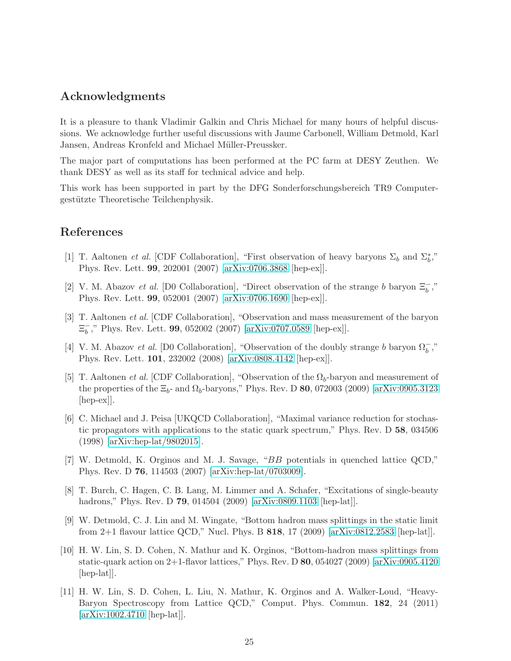## Acknowledgments

It is a pleasure to thank Vladimir Galkin and Chris Michael for many hours of helpful discussions. We acknowledge further useful discussions with Jaume Carbonell, William Detmold, Karl Jansen, Andreas Kronfeld and Michael Müller-Preussker.

The major part of computations has been performed at the PC farm at DESY Zeuthen. We thank DESY as well as its staff for technical advice and help.

This work has been supported in part by the DFG Sonderforschungsbereich TR9 Computergestützte Theoretische Teilchenphysik.

## <span id="page-25-0"></span>References

- [1] T. Aaltonen *et al.* [CDF Collaboration], "First observation of heavy baryons  $\Sigma_b$  and  $\Sigma_b^*$ ," Phys. Rev. Lett. 99, 202001 (2007) [\[arXiv:0706.3868](http://arxiv.org/abs/0706.3868) [hep-ex]].
- <span id="page-25-1"></span>[2] V. M. Abazov et al. [D0 Collaboration], "Direct observation of the strange b baryon  $\Xi_b^-$ ," Phys. Rev. Lett. 99, 052001 (2007) [\[arXiv:0706.1690](http://arxiv.org/abs/0706.1690) [hep-ex]].
- <span id="page-25-2"></span>[3] T. Aaltonen et al. [CDF Collaboration], "Observation and mass measurement of the baryon  $\Xi_b^ _{b}^{-}$ ," Phys. Rev. Lett. **99**, 052002 (2007) [\[arXiv:0707.0589](http://arxiv.org/abs/0707.0589) [hep-ex]].
- <span id="page-25-3"></span>[4] V. M. Abazov et al. [D0 Collaboration], "Observation of the doubly strange b baryon  $\Omega_b^-$ ," Phys. Rev. Lett. 101, 232002 (2008) [\[arXiv:0808.4142](http://arxiv.org/abs/0808.4142) [hep-ex]].
- <span id="page-25-4"></span>[5] T. Aaltonen *et al.* [CDF Collaboration], "Observation of the  $\Omega_b$ -baryon and measurement of the properties of the  $\Xi_b$ - and  $\Omega_b$ -baryons," Phys. Rev. D 80, 072003 (2009) [\[arXiv:0905.3123](http://arxiv.org/abs/0905.3123) [hep-ex]].
- <span id="page-25-5"></span>[6] C. Michael and J. Peisa [UKQCD Collaboration], "Maximal variance reduction for stochastic propagators with applications to the static quark spectrum," Phys. Rev. D 58, 034506 (1998) [\[arXiv:hep-lat/9802015\]](http://arxiv.org/abs/hep-lat/9802015).
- <span id="page-25-6"></span>[7] W. Detmold, K. Orginos and M. J. Savage, "BB potentials in quenched lattice QCD," Phys. Rev. D 76, 114503 (2007) [\[arXiv:hep-lat/0703009\]](http://arxiv.org/abs/hep-lat/0703009).
- <span id="page-25-7"></span>[8] T. Burch, C. Hagen, C. B. Lang, M. Limmer and A. Schafer, "Excitations of single-beauty hadrons," Phys. Rev. D **79**, 014504 (2009) [\[arXiv:0809.1103](http://arxiv.org/abs/0809.1103) [hep-lat]].
- <span id="page-25-8"></span>[9] W. Detmold, C. J. Lin and M. Wingate, "Bottom hadron mass splittings in the static limit from 2+1 flavour lattice QCD," Nucl. Phys. B 818, 17 (2009) [\[arXiv:0812.2583](http://arxiv.org/abs/0812.2583) [hep-lat]].
- <span id="page-25-9"></span>[10] H. W. Lin, S. D. Cohen, N. Mathur and K. Orginos, "Bottom-hadron mass splittings from static-quark action on 2+1-flavor lattices," Phys. Rev. D  $80$ , 054027 (2009) [\[arXiv:0905.4120](http://arxiv.org/abs/0905.4120) [hep-lat].
- <span id="page-25-10"></span>[11] H. W. Lin, S. D. Cohen, L. Liu, N. Mathur, K. Orginos and A. Walker-Loud, "Heavy-Baryon Spectroscopy from Lattice QCD," Comput. Phys. Commun. 182, 24 (2011) [\[arXiv:1002.4710](http://arxiv.org/abs/1002.4710) [hep-lat]].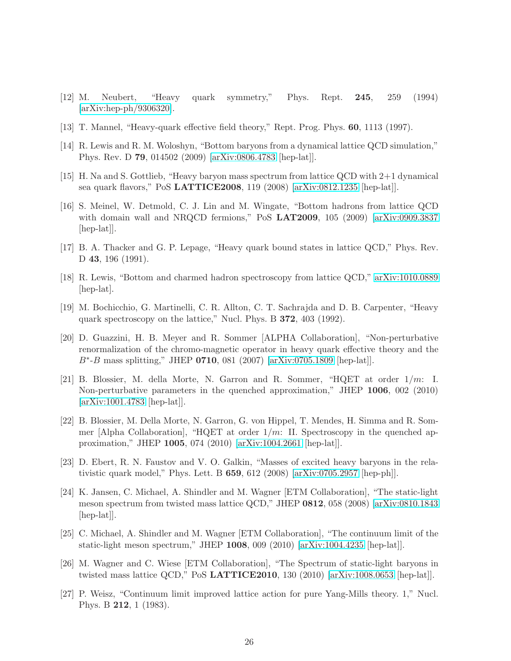- <span id="page-26-1"></span><span id="page-26-0"></span>[12] M. Neubert, "Heavy quark symmetry," Phys. Rept. 245, 259 (1994) [\[arXiv:hep-ph/9306320\]](http://arxiv.org/abs/hep-ph/9306320).
- <span id="page-26-2"></span>[13] T. Mannel, "Heavy-quark effective field theory," Rept. Prog. Phys. 60, 1113 (1997).
- <span id="page-26-3"></span>[14] R. Lewis and R. M. Woloshyn, "Bottom baryons from a dynamical lattice QCD simulation," Phys. Rev. D 79, 014502 (2009) [\[arXiv:0806.4783](http://arxiv.org/abs/0806.4783) [hep-lat]].
- <span id="page-26-4"></span>[15] H. Na and S. Gottlieb, "Heavy baryon mass spectrum from lattice QCD with 2+1 dynamical sea quark flavors," PoS LATTICE2008, 119 (2008) [\[arXiv:0812.1235](http://arxiv.org/abs/0812.1235) [hep-lat]].
- [16] S. Meinel, W. Detmold, C. J. Lin and M. Wingate, "Bottom hadrons from lattice QCD with domain wall and NRQCD fermions," PoS  $LAT2009$ , 105 (2009) [\[arXiv:0909.3837](http://arxiv.org/abs/0909.3837) [hep-lat].
- <span id="page-26-6"></span><span id="page-26-5"></span>[17] B. A. Thacker and G. P. Lepage, "Heavy quark bound states in lattice QCD," Phys. Rev. D 43, 196 (1991).
- <span id="page-26-7"></span>[18] R. Lewis, "Bottom and charmed hadron spectroscopy from lattice QCD," [arXiv:1010.0889](http://arxiv.org/abs/1010.0889) [hep-lat].
- [19] M. Bochicchio, G. Martinelli, C. R. Allton, C. T. Sachrajda and D. B. Carpenter, "Heavy quark spectroscopy on the lattice," Nucl. Phys. B 372, 403 (1992).
- <span id="page-26-8"></span>[20] D. Guazzini, H. B. Meyer and R. Sommer [ALPHA Collaboration], "Non-perturbative renormalization of the chromo-magnetic operator in heavy quark effective theory and the B<sup>∗</sup> -B mass splitting," JHEP 0710, 081 (2007) [\[arXiv:0705.1809](http://arxiv.org/abs/0705.1809) [hep-lat]].
- <span id="page-26-9"></span>[21] B. Blossier, M. della Morte, N. Garron and R. Sommer, " $HQET$  at order  $1/m$ : I. Non-perturbative parameters in the quenched approximation," JHEP 1006, 002 (2010) [\[arXiv:1001.4783](http://arxiv.org/abs/1001.4783) [hep-lat]].
- <span id="page-26-10"></span>[22] B. Blossier, M. Della Morte, N. Garron, G. von Hippel, T. Mendes, H. Simma and R. Sommer [Alpha Collaboration], "HQET at order  $1/m$ : II. Spectroscopy in the quenched approximation," JHEP 1005, 074 (2010) [\[arXiv:1004.2661](http://arxiv.org/abs/1004.2661) [hep-lat]].
- <span id="page-26-11"></span>[23] D. Ebert, R. N. Faustov and V. O. Galkin, "Masses of excited heavy baryons in the relativistic quark model," Phys. Lett. B  $659$ ,  $612$   $(2008)$  [\[arXiv:0705.2957](http://arxiv.org/abs/0705.2957) [hep-ph]].
- <span id="page-26-12"></span>[24] K. Jansen, C. Michael, A. Shindler and M. Wagner [ETM Collaboration], "The static-light meson spectrum from twisted mass lattice QCD," JHEP 0812, 058 (2008) [\[arXiv:0810.1843](http://arxiv.org/abs/0810.1843) [hep-lat].
- <span id="page-26-13"></span>[25] C. Michael, A. Shindler and M. Wagner [ETM Collaboration], "The continuum limit of the static-light meson spectrum," JHEP 1008, 009 (2010) [\[arXiv:1004.4235](http://arxiv.org/abs/1004.4235) [hep-lat]].
- <span id="page-26-14"></span>[26] M. Wagner and C. Wiese [ETM Collaboration], "The Spectrum of static-light baryons in twisted mass lattice QCD," PoS LATTICE2010, 130 (2010) [\[arXiv:1008.0653](http://arxiv.org/abs/1008.0653) [hep-lat]].
- <span id="page-26-15"></span>[27] P. Weisz, "Continuum limit improved lattice action for pure Yang-Mills theory. 1," Nucl. Phys. B 212, 1 (1983).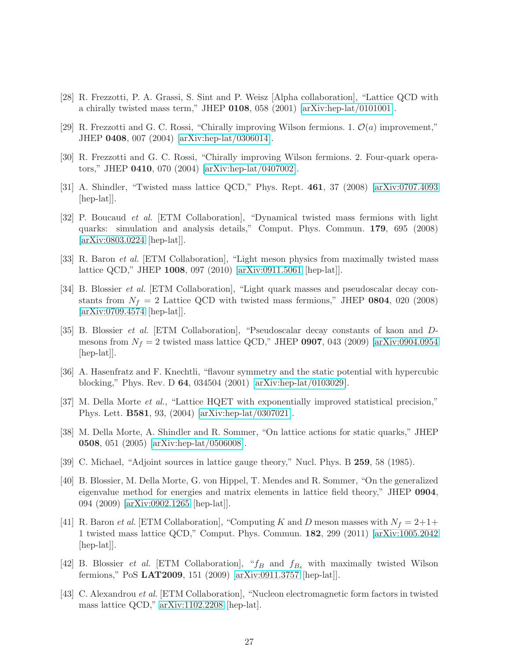- <span id="page-27-1"></span><span id="page-27-0"></span>[28] R. Frezzotti, P. A. Grassi, S. Sint and P. Weisz [Alpha collaboration], "Lattice QCD with a chirally twisted mass term," JHEP  $0108$ , 058 (2001) [\[arXiv:hep-lat/0101001\]](http://arxiv.org/abs/hep-lat/0101001).
- <span id="page-27-2"></span>[29] R. Frezzotti and G. C. Rossi, "Chirally improving Wilson fermions. 1.  $\mathcal{O}(a)$  improvement," JHEP 0408, 007 (2004) [\[arXiv:hep-lat/0306014\]](http://arxiv.org/abs/hep-lat/0306014).
- <span id="page-27-3"></span>[30] R. Frezzotti and G. C. Rossi, "Chirally improving Wilson fermions. 2. Four-quark operators," JHEP 0410, 070 (2004) [\[arXiv:hep-lat/0407002\]](http://arxiv.org/abs/hep-lat/0407002).
- [31] A. Shindler, "Twisted mass lattice QCD," Phys. Rept. 461, 37 (2008) [\[arXiv:0707.4093](http://arxiv.org/abs/0707.4093) [hep-lat].
- <span id="page-27-4"></span>[32] P. Boucaud et al. [ETM Collaboration], "Dynamical twisted mass fermions with light quarks: simulation and analysis details," Comput. Phys. Commun. 179, 695 (2008) [\[arXiv:0803.0224](http://arxiv.org/abs/0803.0224) [hep-lat]].
- <span id="page-27-5"></span>[33] R. Baron et al. [ETM Collaboration], "Light meson physics from maximally twisted mass lattice QCD," JHEP 1008, 097 (2010) [\[arXiv:0911.5061](http://arxiv.org/abs/0911.5061) [hep-lat]].
- <span id="page-27-6"></span>[34] B. Blossier et al. [ETM Collaboration], "Light quark masses and pseudoscalar decay constants from  $N_f = 2$  Lattice QCD with twisted mass fermions," JHEP 0804, 020 (2008) [\[arXiv:0709.4574](http://arxiv.org/abs/0709.4574) [hep-lat]].
- <span id="page-27-7"></span>[35] B. Blossier et al. [ETM Collaboration], "Pseudoscalar decay constants of kaon and Dmesons from  $N_f = 2$  twisted mass lattice QCD," JHEP 0907, 043 (2009) [\[arXiv:0904.0954](http://arxiv.org/abs/0904.0954) [hep-lat]].
- <span id="page-27-8"></span>[36] A. Hasenfratz and F. Knechtli, "flavour symmetry and the static potential with hypercubic blocking," Phys. Rev. D 64, 034504 (2001) [\[arXiv:hep-lat/0103029\]](http://arxiv.org/abs/hep-lat/0103029).
- <span id="page-27-9"></span>[37] M. Della Morte et al., "Lattice HQET with exponentially improved statistical precision," Phys. Lett. B581, 93, (2004) [\[arXiv:hep-lat/0307021\]](http://arxiv.org/abs/hep-lat/0307021).
- <span id="page-27-10"></span>[38] M. Della Morte, A. Shindler and R. Sommer, "On lattice actions for static quarks," JHEP 0508, 051 (2005) [\[arXiv:hep-lat/0506008\]](http://arxiv.org/abs/hep-lat/0506008).
- <span id="page-27-12"></span><span id="page-27-11"></span>[39] C. Michael, "Adjoint sources in lattice gauge theory," Nucl. Phys. B 259, 58 (1985).
- [40] B. Blossier, M. Della Morte, G. von Hippel, T. Mendes and R. Sommer, "On the generalized eigenvalue method for energies and matrix elements in lattice field theory," JHEP 0904, 094 (2009) [\[arXiv:0902.1265](http://arxiv.org/abs/0902.1265) [hep-lat]].
- <span id="page-27-13"></span>[41] R. Baron et al. [ETM Collaboration], "Computing K and D meson masses with  $N_f = 2+1+$ 1 twisted mass lattice QCD," Comput. Phys. Commun. 182, 299 (2011) [\[arXiv:1005.2042](http://arxiv.org/abs/1005.2042) [hep-lat].
- <span id="page-27-14"></span>[42] B. Blossier *et al.* [ETM Collaboration], " $f_B$  and  $f_{B_s}$  with maximally twisted Wilson fermions," PoS LAT2009, 151 (2009) [\[arXiv:0911.3757](http://arxiv.org/abs/0911.3757) [hep-lat]].
- <span id="page-27-15"></span>[43] C. Alexandrou et al. [ETM Collaboration], "Nucleon electromagnetic form factors in twisted mass lattice QCD," [arXiv:1102.2208](http://arxiv.org/abs/1102.2208) [hep-lat].